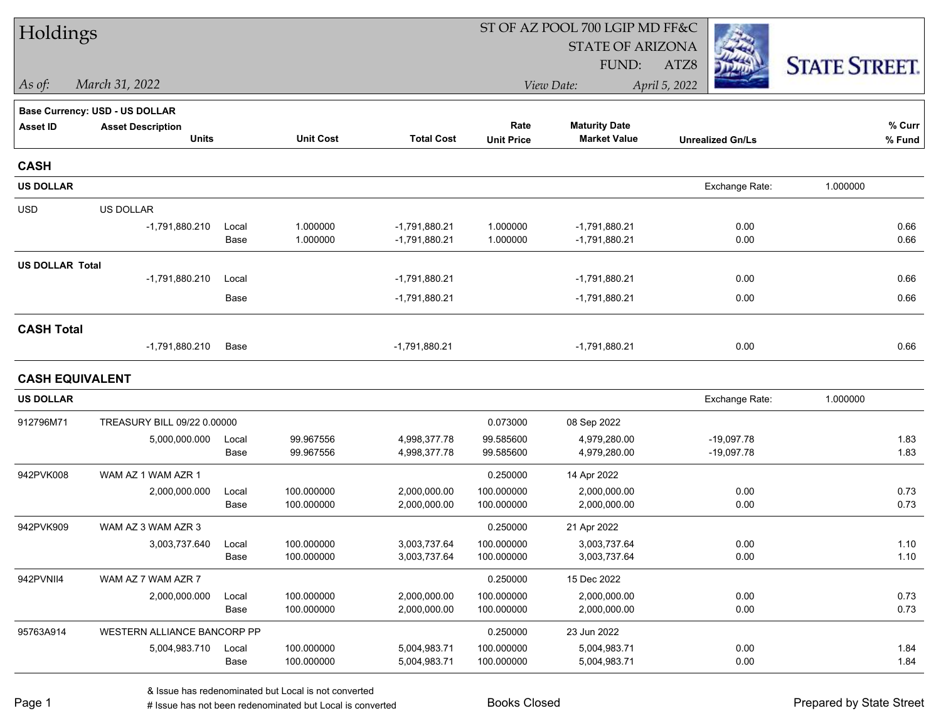| Holdings<br><b>STATE OF ARIZONA</b>                                                                                          |                      |
|------------------------------------------------------------------------------------------------------------------------------|----------------------|
|                                                                                                                              |                      |
| FUND:<br>ATZ8                                                                                                                | <b>STATE STREET.</b> |
| March 31, 2022<br>April 5, 2022<br>$\vert$ As of:<br>View Date:                                                              |                      |
| <b>Base Currency: USD - US DOLLAR</b>                                                                                        |                      |
| Rate<br><b>Maturity Date</b><br><b>Asset ID</b><br><b>Asset Description</b>                                                  | % Curr               |
| <b>Units</b><br><b>Unit Cost</b><br><b>Total Cost</b><br><b>Market Value</b><br><b>Unit Price</b><br><b>Unrealized Gn/Ls</b> | $%$ Fund             |
| <b>CASH</b>                                                                                                                  |                      |
| <b>US DOLLAR</b><br>Exchange Rate:                                                                                           | 1.000000             |
| <b>USD</b><br>US DOLLAR                                                                                                      |                      |
| 1.000000<br>1.000000<br>0.00<br>-1,791,880.210<br>$-1,791,880.21$<br>$-1,791,880.21$<br>Local                                | 0.66                 |
| 1.000000<br>$-1,791,880.21$<br>1.000000<br>0.00<br>Base<br>$-1,791,880.21$                                                   | 0.66                 |
| <b>US DOLLAR Total</b>                                                                                                       |                      |
| $-1,791,880.210$<br>$-1,791,880.21$<br>0.00<br>$-1,791,880.21$<br>Local                                                      | 0.66                 |
| Base<br>$-1,791,880.21$<br>$-1,791,880.21$<br>0.00                                                                           | 0.66                 |
| <b>CASH Total</b>                                                                                                            |                      |
| -1,791,880.210<br>Base<br>$-1,791,880.21$<br>$-1,791,880.21$<br>0.00                                                         | 0.66                 |
| <b>CASH EQUIVALENT</b>                                                                                                       |                      |
| <b>US DOLLAR</b><br>Exchange Rate:                                                                                           | 1.000000             |
| 912796M71<br>TREASURY BILL 09/22 0.00000<br>0.073000<br>08 Sep 2022                                                          |                      |
| 99.967556<br>99.585600<br>5,000,000.000<br>4,998,377.78<br>4,979,280.00<br>$-19,097.78$<br>Local                             | 1.83                 |
| 4,998,377.78<br>Base<br>99.967556<br>99.585600<br>4,979,280.00<br>$-19,097.78$                                               | 1.83                 |
| 942PVK008<br>WAM AZ 1 WAM AZR 1<br>0.250000<br>14 Apr 2022                                                                   |                      |
| 100.000000<br>100.000000<br>0.00<br>2,000,000.000<br>2,000,000.00<br>2,000,000.00<br>Local                                   | 0.73                 |
| 100.000000<br>2,000,000.00<br>100.000000<br>2,000,000.00<br>0.00<br>Base                                                     | 0.73                 |
| 942PVK909<br>WAM AZ 3 WAM AZR 3<br>0.250000<br>21 Apr 2022                                                                   |                      |
| 3,003,737.640<br>100.000000<br>3,003,737.64<br>100.000000<br>3,003,737.64<br>0.00<br>Local                                   | 1.10                 |
| Base<br>100.000000<br>3,003,737.64<br>100.000000<br>0.00<br>3,003,737.64                                                     | 1.10                 |
| 942PVNII4<br>WAM AZ 7 WAM AZR 7<br>0.250000<br>15 Dec 2022                                                                   |                      |
| 100.000000<br>2,000,000.00<br>100.000000<br>0.00<br>2,000,000.000<br>2,000,000.00<br>Local                                   | 0.73                 |
| 100.000000<br>100.000000<br>0.00<br>Base<br>2,000,000.00<br>2,000,000.00                                                     | 0.73                 |
| 95763A914<br>WESTERN ALLIANCE BANCORP PP<br>0.250000<br>23 Jun 2022                                                          |                      |
| 100.000000<br>100.000000<br>0.00<br>5,004,983.710<br>5,004,983.71<br>5,004,983.71<br>Local                                   | 1.84                 |
| 100.000000<br>5,004,983.71<br>100.000000<br>0.00<br>Base<br>5,004,983.71                                                     | 1.84                 |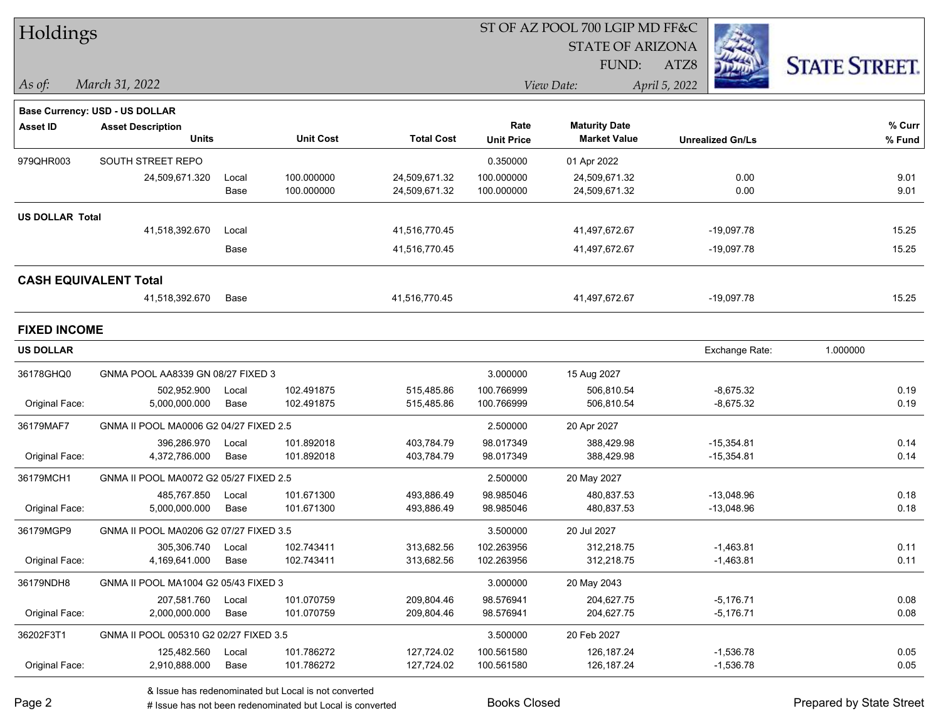| Holdings               |                                        |       |                  |                   |                   | ST OF AZ POOL 700 LGIP MD FF&C |                         |                      |  |
|------------------------|----------------------------------------|-------|------------------|-------------------|-------------------|--------------------------------|-------------------------|----------------------|--|
|                        |                                        |       |                  |                   |                   | <b>STATE OF ARIZONA</b>        |                         |                      |  |
|                        |                                        |       |                  |                   |                   | FUND:                          | ATZ8                    | <b>STATE STREET.</b> |  |
| $\vert$ As of:         | March 31, 2022                         |       |                  |                   |                   | View Date:                     | April 5, 2022           |                      |  |
|                        | Base Currency: USD - US DOLLAR         |       |                  |                   |                   |                                |                         |                      |  |
| <b>Asset ID</b>        | <b>Asset Description</b>               |       |                  |                   | Rate              | <b>Maturity Date</b>           |                         | % Curr               |  |
|                        | <b>Units</b>                           |       | <b>Unit Cost</b> | <b>Total Cost</b> | <b>Unit Price</b> | <b>Market Value</b>            | <b>Unrealized Gn/Ls</b> | $%$ Fund             |  |
| 979QHR003              | SOUTH STREET REPO                      |       |                  |                   | 0.350000          | 01 Apr 2022                    |                         |                      |  |
|                        | 24,509,671.320                         | Local | 100.000000       | 24,509,671.32     | 100.000000        | 24,509,671.32                  | 0.00                    | 9.01                 |  |
|                        |                                        | Base  | 100.000000       | 24,509,671.32     | 100.000000        | 24,509,671.32                  | 0.00                    | 9.01                 |  |
| <b>US DOLLAR Total</b> |                                        |       |                  |                   |                   |                                |                         |                      |  |
|                        | 41,518,392.670                         | Local |                  | 41,516,770.45     |                   | 41,497,672.67                  | $-19,097.78$            | 15.25                |  |
|                        |                                        | Base  |                  | 41,516,770.45     |                   | 41,497,672.67                  | $-19,097.78$            | 15.25                |  |
|                        | <b>CASH EQUIVALENT Total</b>           |       |                  |                   |                   |                                |                         |                      |  |
|                        | 41,518,392.670                         | Base  |                  | 41,516,770.45     |                   | 41,497,672.67                  | $-19,097.78$            | 15.25                |  |
| <b>FIXED INCOME</b>    |                                        |       |                  |                   |                   |                                |                         |                      |  |
| <b>US DOLLAR</b>       |                                        |       |                  |                   |                   |                                | Exchange Rate:          | 1.000000             |  |
| 36178GHQ0              | GNMA POOL AA8339 GN 08/27 FIXED 3      |       |                  |                   | 3.000000          | 15 Aug 2027                    |                         |                      |  |
|                        | 502,952.900                            | Local | 102.491875       | 515,485.86        | 100.766999        | 506,810.54                     | $-8,675.32$             | 0.19                 |  |
| Original Face:         | 5,000,000.000                          | Base  | 102.491875       | 515,485.86        | 100.766999        | 506,810.54                     | $-8,675.32$             | 0.19                 |  |
| 36179MAF7              | GNMA II POOL MA0006 G2 04/27 FIXED 2.5 |       |                  |                   | 2.500000          | 20 Apr 2027                    |                         |                      |  |
|                        | 396,286.970                            | Local | 101.892018       | 403,784.79        | 98.017349         | 388,429.98                     | $-15,354.81$            | 0.14                 |  |
| Original Face:         | 4,372,786.000                          | Base  | 101.892018       | 403,784.79        | 98.017349         | 388,429.98                     | $-15,354.81$            | 0.14                 |  |
| 36179MCH1              | GNMA II POOL MA0072 G2 05/27 FIXED 2.5 |       |                  |                   | 2.500000          | 20 May 2027                    |                         |                      |  |
|                        | 485,767.850                            | Local | 101.671300       | 493,886.49        | 98.985046         | 480,837.53                     | $-13,048.96$            | 0.18                 |  |
| Original Face:         | 5,000,000.000                          | Base  | 101.671300       | 493,886.49        | 98.985046         | 480,837.53                     | $-13,048.96$            | 0.18                 |  |
| 36179MGP9              | GNMA II POOL MA0206 G2 07/27 FIXED 3.5 |       |                  |                   | 3.500000          | 20 Jul 2027                    |                         |                      |  |
|                        | 305,306.740                            | Local | 102.743411       | 313,682.56        | 102.263956        | 312,218.75                     | $-1,463.81$             | 0.11                 |  |
| Original Face:         | 4,169,641.000                          | Base  | 102.743411       | 313,682.56        | 102.263956        | 312,218.75                     | $-1,463.81$             | 0.11                 |  |
| 36179NDH8              | GNMA II POOL MA1004 G2 05/43 FIXED 3   |       |                  |                   | 3.000000          | 20 May 2043                    |                         |                      |  |
|                        | 207,581.760                            | Local | 101.070759       | 209,804.46        | 98.576941         | 204,627.75                     | $-5,176.71$             | 0.08                 |  |
| Original Face:         | 2,000,000.000                          | Base  | 101.070759       | 209,804.46        | 98.576941         | 204,627.75                     | $-5,176.71$             | 0.08                 |  |
| 36202F3T1              | GNMA II POOL 005310 G2 02/27 FIXED 3.5 |       |                  |                   | 3.500000          | 20 Feb 2027                    |                         |                      |  |
|                        | 125,482.560                            | Local | 101.786272       | 127,724.02        | 100.561580        | 126, 187. 24                   | $-1,536.78$             | 0.05                 |  |
| Original Face:         | 2,910,888.000                          | Base  | 101.786272       | 127,724.02        | 100.561580        | 126, 187.24                    | $-1,536.78$             | 0.05                 |  |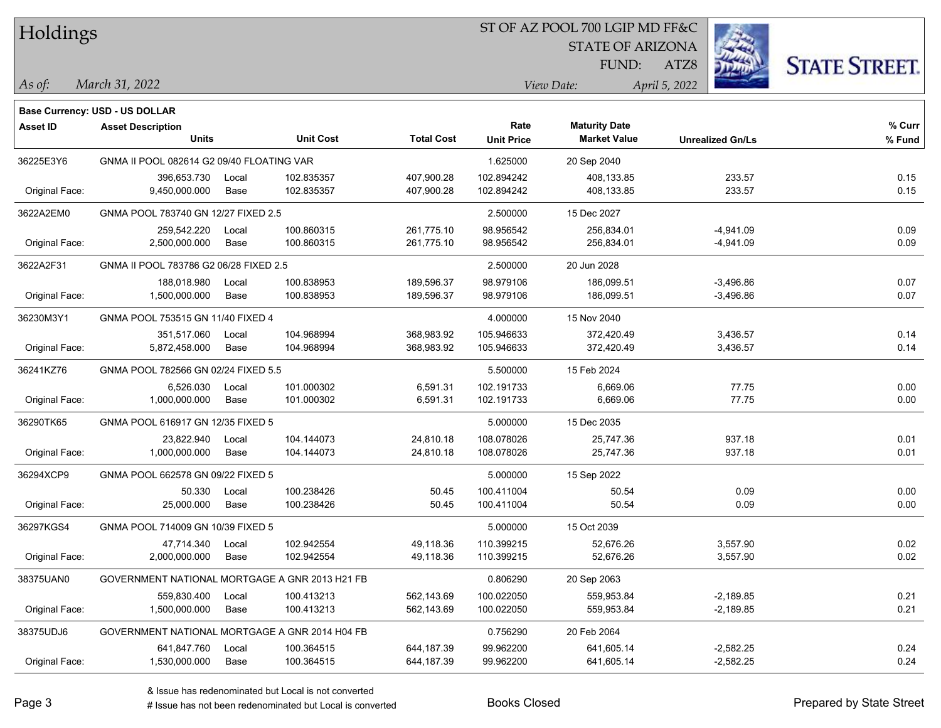| Holdings        |                                                |       |                  |                   | ST OF AZ POOL 700 LGIP MD FF&C |                                             |                         |                      |
|-----------------|------------------------------------------------|-------|------------------|-------------------|--------------------------------|---------------------------------------------|-------------------------|----------------------|
|                 |                                                |       |                  |                   |                                | <b>STATE OF ARIZONA</b>                     |                         |                      |
|                 |                                                |       |                  |                   |                                | FUND:                                       | ATZ8                    | <b>STATE STREET.</b> |
| As of:          | March 31, 2022                                 |       |                  |                   |                                | View Date:                                  | April 5, 2022           |                      |
|                 |                                                |       |                  |                   |                                |                                             |                         |                      |
|                 | Base Currency: USD - US DOLLAR                 |       |                  |                   |                                |                                             |                         |                      |
| <b>Asset ID</b> | <b>Asset Description</b><br><b>Units</b>       |       | <b>Unit Cost</b> | <b>Total Cost</b> | Rate<br><b>Unit Price</b>      | <b>Maturity Date</b><br><b>Market Value</b> | <b>Unrealized Gn/Ls</b> | % Curr<br>% Fund     |
| 36225E3Y6       | GNMA II POOL 082614 G2 09/40 FLOATING VAR      |       |                  |                   | 1.625000                       | 20 Sep 2040                                 |                         |                      |
|                 | 396,653.730                                    | Local | 102.835357       | 407,900.28        | 102.894242                     | 408,133.85                                  | 233.57                  | 0.15                 |
| Original Face:  | 9,450,000.000                                  | Base  | 102.835357       | 407,900.28        | 102.894242                     | 408,133.85                                  | 233.57                  | 0.15                 |
| 3622A2EM0       | GNMA POOL 783740 GN 12/27 FIXED 2.5            |       |                  |                   | 2.500000                       | 15 Dec 2027                                 |                         |                      |
|                 | 259,542.220                                    | Local | 100.860315       | 261,775.10        | 98.956542                      | 256,834.01                                  | $-4,941.09$             | 0.09                 |
| Original Face:  | 2,500,000.000                                  | Base  | 100.860315       | 261,775.10        | 98.956542                      | 256,834.01                                  | $-4,941.09$             | 0.09                 |
| 3622A2F31       | GNMA II POOL 783786 G2 06/28 FIXED 2.5         |       |                  |                   | 2.500000                       | 20 Jun 2028                                 |                         |                      |
|                 | 188,018.980                                    | Local | 100.838953       | 189,596.37        | 98.979106                      | 186,099.51                                  | $-3,496.86$             | 0.07                 |
| Original Face:  | 1,500,000.000                                  | Base  | 100.838953       | 189,596.37        | 98.979106                      | 186,099.51                                  | $-3,496.86$             | 0.07                 |
| 36230M3Y1       | GNMA POOL 753515 GN 11/40 FIXED 4              |       |                  |                   | 4.000000                       | 15 Nov 2040                                 |                         |                      |
|                 | 351,517.060                                    | Local | 104.968994       | 368,983.92        | 105.946633                     | 372,420.49                                  | 3,436.57                | 0.14                 |
| Original Face:  | 5,872,458.000                                  | Base  | 104.968994       | 368,983.92        | 105.946633                     | 372,420.49                                  | 3,436.57                | 0.14                 |
| 36241KZ76       | GNMA POOL 782566 GN 02/24 FIXED 5.5            |       |                  |                   | 5.500000                       | 15 Feb 2024                                 |                         |                      |
|                 | 6,526.030                                      | Local | 101.000302       | 6,591.31          | 102.191733                     | 6,669.06                                    | 77.75                   | 0.00                 |
| Original Face:  | 1,000,000.000                                  | Base  | 101.000302       | 6,591.31          | 102.191733                     | 6,669.06                                    | 77.75                   | 0.00                 |
| 36290TK65       | GNMA POOL 616917 GN 12/35 FIXED 5              |       |                  |                   | 5.000000                       | 15 Dec 2035                                 |                         |                      |
|                 | 23,822.940                                     | Local | 104.144073       | 24,810.18         | 108.078026                     | 25,747.36                                   | 937.18                  | 0.01                 |
| Original Face:  | 1,000,000.000                                  | Base  | 104.144073       | 24,810.18         | 108.078026                     | 25,747.36                                   | 937.18                  | 0.01                 |
| 36294XCP9       | GNMA POOL 662578 GN 09/22 FIXED 5              |       |                  |                   | 5.000000                       | 15 Sep 2022                                 |                         |                      |
|                 | 50.330                                         | Local | 100.238426       | 50.45             | 100.411004                     | 50.54                                       | 0.09                    | 0.00                 |
| Original Face:  | 25,000.000                                     | Base  | 100.238426       | 50.45             | 100.411004                     | 50.54                                       | 0.09                    | 0.00                 |
| 36297KGS4       | GNMA POOL 714009 GN 10/39 FIXED 5              |       |                  |                   | 5.000000                       | 15 Oct 2039                                 |                         |                      |
|                 | 47,714.340                                     | Local | 102.942554       | 49,118.36         | 110.399215                     | 52,676.26                                   | 3,557.90                | 0.02                 |
| Original Face:  | 2,000,000.000                                  | Base  | 102.942554       | 49,118.36         | 110.399215                     | 52,676.26                                   | 3,557.90                | 0.02                 |
| 38375UAN0       | GOVERNMENT NATIONAL MORTGAGE A GNR 2013 H21 FB |       |                  |                   | 0.806290                       | 20 Sep 2063                                 |                         |                      |
|                 | 559,830.400                                    | Local | 100.413213       | 562,143.69        | 100.022050                     | 559,953.84                                  | $-2,189.85$             | 0.21                 |
| Original Face:  | 1,500,000.000                                  | Base  | 100.413213       | 562,143.69        | 100.022050                     | 559,953.84                                  | $-2,189.85$             | 0.21                 |
| 38375UDJ6       | GOVERNMENT NATIONAL MORTGAGE A GNR 2014 H04 FB |       |                  |                   | 0.756290                       | 20 Feb 2064                                 |                         |                      |
|                 | 641,847.760                                    | Local | 100.364515       | 644,187.39        | 99.962200                      | 641,605.14                                  | $-2,582.25$             | 0.24                 |
| Original Face:  | 1,530,000.000                                  | Base  | 100.364515       | 644,187.39        | 99.962200                      | 641,605.14                                  | $-2,582.25$             | 0.24                 |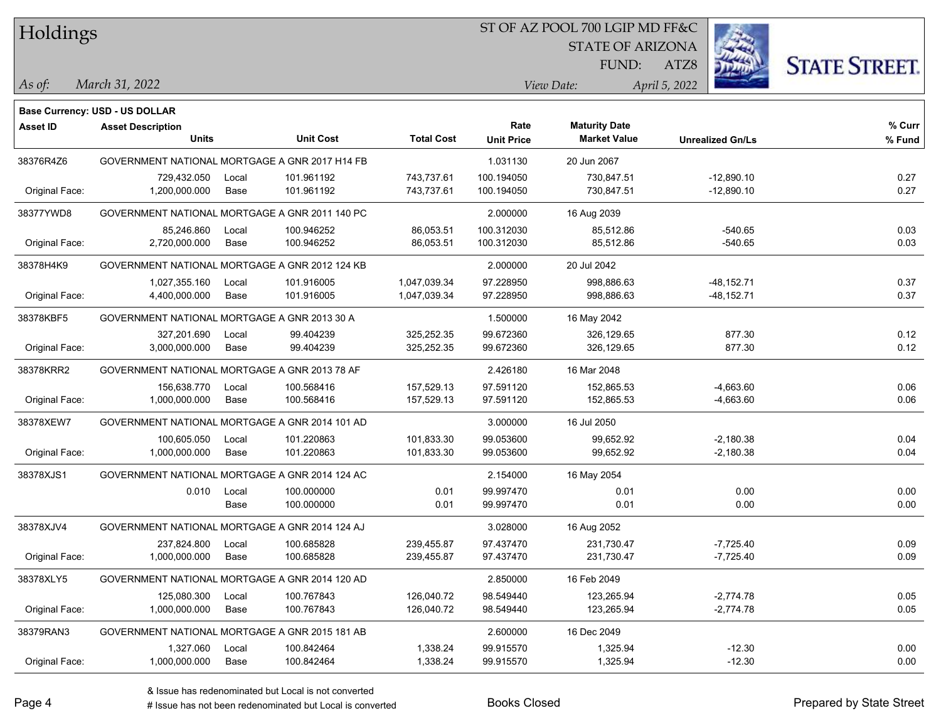Holdings

## ST OF AZ POOL 700 LGIP MD FF&C

STATE OF ARIZONA

FUND:



*March 31, 2022 As of: View Date: April 5, 2022*

**Base Currency: USD - US DOLLAR**

ATZ8

| Asset ID       | <b>Asset Description</b>                       |       |                  |                   | Rate              | <b>Maturity Date</b> |                         | % Curr |
|----------------|------------------------------------------------|-------|------------------|-------------------|-------------------|----------------------|-------------------------|--------|
|                | <b>Units</b>                                   |       | <b>Unit Cost</b> | <b>Total Cost</b> | <b>Unit Price</b> | <b>Market Value</b>  | <b>Unrealized Gn/Ls</b> | % Fund |
| 38376R4Z6      | GOVERNMENT NATIONAL MORTGAGE A GNR 2017 H14 FB |       |                  |                   | 1.031130          | 20 Jun 2067          |                         |        |
|                | 729,432.050                                    | Local | 101.961192       | 743,737.61        | 100.194050        | 730,847.51           | $-12,890.10$            | 0.27   |
| Original Face: | 1,200,000.000                                  | Base  | 101.961192       | 743,737.61        | 100.194050        | 730,847.51           | $-12,890.10$            | 0.27   |
| 38377YWD8      | GOVERNMENT NATIONAL MORTGAGE A GNR 2011 140 PC |       |                  |                   | 2.000000          | 16 Aug 2039          |                         |        |
|                | 85,246.860                                     | Local | 100.946252       | 86,053.51         | 100.312030        | 85,512.86            | -540.65                 | 0.03   |
| Original Face: | 2,720,000.000                                  | Base  | 100.946252       | 86,053.51         | 100.312030        | 85,512.86            | -540.65                 | 0.03   |
| 38378H4K9      | GOVERNMENT NATIONAL MORTGAGE A GNR 2012 124 KB |       |                  |                   | 2.000000          | 20 Jul 2042          |                         |        |
|                | 1,027,355.160                                  | Local | 101.916005       | 1,047,039.34      | 97.228950         | 998,886.63           | $-48, 152.71$           | 0.37   |
| Original Face: | 4,400,000.000                                  | Base  | 101.916005       | 1,047,039.34      | 97.228950         | 998,886.63           | $-48, 152.71$           | 0.37   |
| 38378KBF5      | GOVERNMENT NATIONAL MORTGAGE A GNR 2013 30 A   |       |                  |                   | 1.500000          | 16 May 2042          |                         |        |
|                | 327,201.690                                    | Local | 99.404239        | 325,252.35        | 99.672360         | 326,129.65           | 877.30                  | 0.12   |
| Original Face: | 3,000,000.000                                  | Base  | 99.404239        | 325,252.35        | 99.672360         | 326,129.65           | 877.30                  | 0.12   |
| 38378KRR2      | GOVERNMENT NATIONAL MORTGAGE A GNR 2013 78 AF  |       |                  |                   | 2.426180          | 16 Mar 2048          |                         |        |
|                | 156,638.770                                    | Local | 100.568416       | 157,529.13        | 97.591120         | 152,865.53           | $-4,663.60$             | 0.06   |
| Original Face: | 1,000,000.000                                  | Base  | 100.568416       | 157,529.13        | 97.591120         | 152,865.53           | $-4,663.60$             | 0.06   |
| 38378XEW7      | GOVERNMENT NATIONAL MORTGAGE A GNR 2014 101 AD |       |                  |                   | 3.000000          | 16 Jul 2050          |                         |        |
|                | 100,605.050                                    | Local | 101.220863       | 101,833.30        | 99.053600         | 99,652.92            | $-2,180.38$             | 0.04   |
| Original Face: | 1,000,000.000                                  | Base  | 101.220863       | 101,833.30        | 99.053600         | 99,652.92            | $-2,180.38$             | 0.04   |
| 38378XJS1      | GOVERNMENT NATIONAL MORTGAGE A GNR 2014 124 AC |       |                  |                   | 2.154000          | 16 May 2054          |                         |        |
|                | 0.010                                          | Local | 100.000000       | 0.01              | 99.997470         | 0.01                 | 0.00                    | 0.00   |
|                |                                                | Base  | 100.000000       | 0.01              | 99.997470         | 0.01                 | 0.00                    | 0.00   |
| 38378XJV4      | GOVERNMENT NATIONAL MORTGAGE A GNR 2014 124 AJ |       |                  |                   | 3.028000          | 16 Aug 2052          |                         |        |
|                | 237,824.800                                    | Local | 100.685828       | 239,455.87        | 97.437470         | 231,730.47           | $-7,725.40$             | 0.09   |
| Original Face: | 1,000,000.000                                  | Base  | 100.685828       | 239,455.87        | 97.437470         | 231,730.47           | $-7,725.40$             | 0.09   |
| 38378XLY5      | GOVERNMENT NATIONAL MORTGAGE A GNR 2014 120 AD |       |                  |                   | 2.850000          | 16 Feb 2049          |                         |        |
|                | 125,080.300                                    | Local | 100.767843       | 126,040.72        | 98.549440         | 123,265.94           | $-2,774.78$             | 0.05   |
| Original Face: | 1,000,000.000                                  | Base  | 100.767843       | 126,040.72        | 98.549440         | 123,265.94           | $-2,774.78$             | 0.05   |
| 38379RAN3      | GOVERNMENT NATIONAL MORTGAGE A GNR 2015 181 AB |       |                  |                   | 2.600000          | 16 Dec 2049          |                         |        |
|                | 1,327.060                                      | Local | 100.842464       | 1,338.24          | 99.915570         | 1,325.94             | $-12.30$                | 0.00   |
| Original Face: | 1,000,000.000                                  | Base  | 100.842464       | 1,338.24          | 99.915570         | 1,325.94             | $-12.30$                | 0.00   |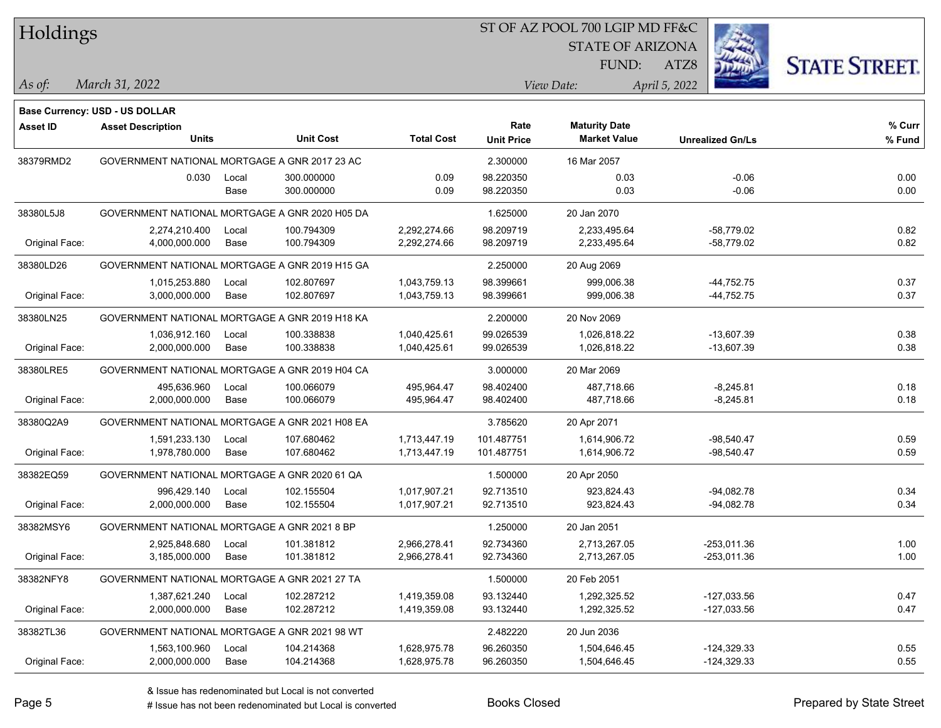Holdings

## ST OF AZ POOL 700 LGIP MD FF&C

STATE OF ARIZONA

FUND:



*March 31, 2022 As of: View Date: April 5, 2022*

ATZ8

|                 | Base Currency: USD - US DOLLAR                 |       |                  |                   |                   |                      |                         |        |
|-----------------|------------------------------------------------|-------|------------------|-------------------|-------------------|----------------------|-------------------------|--------|
| <b>Asset ID</b> | <b>Asset Description</b>                       |       |                  |                   | Rate              | <b>Maturity Date</b> |                         | % Curr |
|                 | <b>Units</b>                                   |       | <b>Unit Cost</b> | <b>Total Cost</b> | <b>Unit Price</b> | <b>Market Value</b>  | <b>Unrealized Gn/Ls</b> | % Fund |
| 38379RMD2       | GOVERNMENT NATIONAL MORTGAGE A GNR 2017 23 AC  |       |                  |                   | 2.300000          | 16 Mar 2057          |                         |        |
|                 | 0.030                                          | Local | 300.000000       | 0.09              | 98.220350         | 0.03                 | $-0.06$                 | 0.00   |
|                 |                                                | Base  | 300.000000       | 0.09              | 98.220350         | 0.03                 | $-0.06$                 | 0.00   |
| 38380L5J8       | GOVERNMENT NATIONAL MORTGAGE A GNR 2020 H05 DA |       |                  |                   | 1.625000          | 20 Jan 2070          |                         |        |
|                 | 2,274,210.400                                  | Local | 100.794309       | 2.292.274.66      | 98.209719         | 2.233.495.64         | $-58.779.02$            | 0.82   |
| Original Face:  | 4,000,000.000                                  | Base  | 100.794309       | 2,292,274.66      | 98.209719         | 2,233,495.64         | $-58,779.02$            | 0.82   |
| 38380LD26       | GOVERNMENT NATIONAL MORTGAGE A GNR 2019 H15 GA |       |                  |                   | 2.250000          | 20 Aug 2069          |                         |        |
|                 | 1,015,253.880                                  | Local | 102.807697       | 1,043,759.13      | 98.399661         | 999,006.38           | $-44,752.75$            | 0.37   |
| Original Face:  | 3,000,000.000                                  | Base  | 102.807697       | 1,043,759.13      | 98.399661         | 999,006.38           | -44,752.75              | 0.37   |
| 38380LN25       | GOVERNMENT NATIONAL MORTGAGE A GNR 2019 H18 KA |       |                  |                   | 2.200000          | 20 Nov 2069          |                         |        |
|                 | 1,036,912.160                                  | Local | 100.338838       | 1,040,425.61      | 99.026539         | 1,026,818.22         | $-13,607.39$            | 0.38   |
| Original Face:  | 2,000,000.000                                  | Base  | 100.338838       | 1,040,425.61      | 99.026539         | 1,026,818.22         | $-13,607.39$            | 0.38   |
| 38380LRE5       | GOVERNMENT NATIONAL MORTGAGE A GNR 2019 H04 CA |       |                  |                   | 3.000000          | 20 Mar 2069          |                         |        |
|                 | 495,636.960                                    | Local | 100.066079       | 495,964.47        | 98.402400         | 487,718.66           | $-8,245.81$             | 0.18   |
| Original Face:  | 2,000,000.000                                  | Base  | 100.066079       | 495,964.47        | 98.402400         | 487,718.66           | $-8,245.81$             | 0.18   |
| 38380Q2A9       | GOVERNMENT NATIONAL MORTGAGE A GNR 2021 H08 EA |       |                  |                   | 3.785620          | 20 Apr 2071          |                         |        |
|                 | 1,591,233.130                                  | Local | 107.680462       | 1,713,447.19      | 101.487751        | 1,614,906.72         | $-98,540.47$            | 0.59   |
| Original Face:  | 1,978,780.000                                  | Base  | 107.680462       | 1,713,447.19      | 101.487751        | 1,614,906.72         | $-98,540.47$            | 0.59   |
| 38382EQ59       | GOVERNMENT NATIONAL MORTGAGE A GNR 2020 61 QA  |       |                  |                   | 1.500000          | 20 Apr 2050          |                         |        |
|                 | 996,429.140                                    | Local | 102.155504       | 1,017,907.21      | 92.713510         | 923,824.43           | $-94,082.78$            | 0.34   |
| Original Face:  | 2,000,000.000                                  | Base  | 102.155504       | 1,017,907.21      | 92.713510         | 923,824.43           | $-94,082.78$            | 0.34   |
| 38382MSY6       | GOVERNMENT NATIONAL MORTGAGE A GNR 2021 8 BP   |       |                  |                   | 1.250000          | 20 Jan 2051          |                         |        |
|                 | 2,925,848.680                                  | Local | 101.381812       | 2,966,278.41      | 92.734360         | 2,713,267.05         | $-253,011.36$           | 1.00   |
| Original Face:  | 3,185,000.000                                  | Base  | 101.381812       | 2,966,278.41      | 92.734360         | 2,713,267.05         | -253,011.36             | 1.00   |
| 38382NFY8       | GOVERNMENT NATIONAL MORTGAGE A GNR 2021 27 TA  |       |                  |                   | 1.500000          | 20 Feb 2051          |                         |        |
|                 | 1,387,621.240                                  | Local | 102.287212       | 1,419,359.08      | 93.132440         | 1,292,325.52         | $-127,033.56$           | 0.47   |
| Original Face:  | 2,000,000.000                                  | Base  | 102.287212       | 1,419,359.08      | 93.132440         | 1,292,325.52         | $-127,033.56$           | 0.47   |
| 38382TL36       | GOVERNMENT NATIONAL MORTGAGE A GNR 2021 98 WT  |       |                  |                   | 2.482220          | 20 Jun 2036          |                         |        |
|                 | 1,563,100.960                                  | Local | 104.214368       | 1,628,975.78      | 96.260350         | 1,504,646.45         | $-124,329.33$           | 0.55   |
| Original Face:  | 2,000,000.000                                  | Base  | 104.214368       | 1,628,975.78      | 96.260350         | 1,504,646.45         | $-124,329.33$           | 0.55   |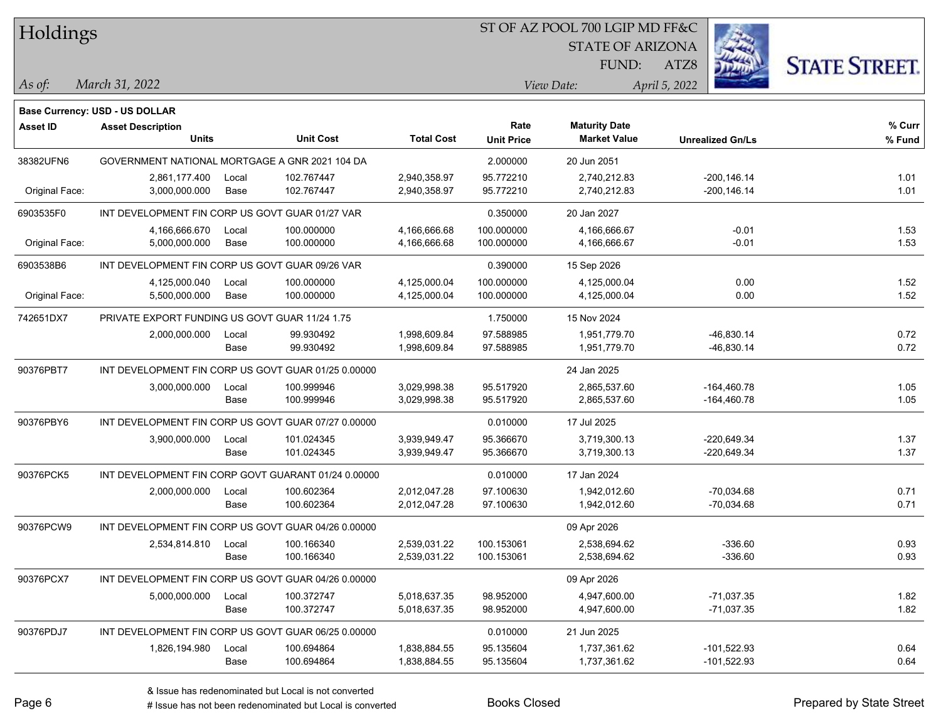Holdings STATE OF ARIZONA **STATE STREET.** FUND: ATZ8 *March 31, 2022 As of: View Date: April 5, 2022* **Base Currency: USD - US DOLLAR Asset ID Asset Description Rate Maturity Date % Curr Units Unit Cost Total Cost Unit Price Market Value Unrealized Gn/Ls % Fund** 38382UFN6 GOVERNMENT NATIONAL MORTGAGE A GNR 2021 104 DA 2.000000 20 Jun 2051 2,861,177.400 Local 102.767447 2,940,358.97 95.772210 2,740,212.83 -200,146.14 1.01 Original Face: 3,000,000.000 Base 102.767447 2,940,358.97 95.772210 2,740,212.83 -200,146.14 1.01 6903535F0 INT DEVELOPMENT FIN CORP US GOVT GUAR 01/27 VAR 0.350000 20 Jan 2027 4,166,666.670 Local 100.000000 4,166,666.68 100.000000 4,166,666.67 1.53 Original Face: 5,000,000.000 Base 100.000000 4,166,666.68 100.000000 4,166,666.67 1.53 6903538B6 INT DEVELOPMENT FIN CORP US GOVT GUAR 09/26 VAR 0.390000 15 Sep 2026 4,125,000.040 Local 100.000000 4,125,000.04 100.000000 4,125,000.04 0.00 1.52 Original Face: 5,500,000.000 Base 100.000000 4,125,000.04 100.000000 4,125,000.04 0.00 1.52 742651DX7 PRIVATE EXPORT FUNDING US GOVT GUAR 11/24 1.75 1.750 1.750000 15 Nov 2024 2,000,000.000 Local 99.930492 1,998,609.84 97.588985 1,951,779.70 46,830.14 0.72 Base 99.930492 1,998,609.84 97.588985 1,951,779.70 -46,830.14 0.72 90376PBT7 INT DEVELOPMENT FIN CORP US GOVT GUAR 01/25 0.00000 24 Jan 2025 3,000,000.000 Local 100.999946 3,029,998.38 95.517920 2,865,537.60 -164,460.78 1.05 Base 100.999946 3,029,998.38 95.517920 2,865,537.60 -164,460.78 1.05 90376PBY6 INT DEVELOPMENT FIN CORP US GOVT GUAR 07/27 0.00000 0.010000 17 Jul 2025 3,900,000.000 Local 101.024345 3,939,949.47 95.366670 3,719,300.13 -220,649.34 1.37 Base 101.024345 3,939,949.47 95.366670 3,719,300.13 -220,649.34 1.37 90376PCK5 INT DEVELOPMENT FIN CORP GOVT GUARANT 01/24 0.00000 0.010000 0.010000 17 Jan 2024 2,000,000.000 Local 100.602364 2,012,047.28 97.100630 1,942,012.60 -70,034.68 0.71 Base 100.602364 2,012,047.28 97.100630 1,942,012.60 70,034.68 0.71 90376PCW9 INT DEVELOPMENT FIN CORP US GOVT GUAR 04/26 0.00000 2,534,814.810 Local 100.166340 2,539,031.22 100.153061 2,538,694.62 336.60 0.93 Base 100.166340 2,539,031.22 100.153061 2,538,694.62 -336.60 0.93 90376PCX7 INT DEVELOPMENT FIN CORP US GOVT GUAR 04/26 0.00000 00000 00000 09 Apr 2026 5,000,000.000 Local 100.372747 5,018,637.35 98.952000 4,947,600.00 71,037.35 1.82 Base 100.372747 5,018,637.35 98.952000 4,947,600.00 -71,037.35 1.82 90376PDJ7 INT DEVELOPMENT FIN CORP US GOVT GUAR 06/25 0.00000 0.010000 21 Jun 2025 1,826,194.980 Local 100.694864 1,838,884.55 95.135604 1,737,361.62 -101,522.93 0.64

ST OF AZ POOL 700 LGIP MD FF&C

Base 100.694864 1,838,884.55 95.135604 1,737,361.62 -101,522.93 0.64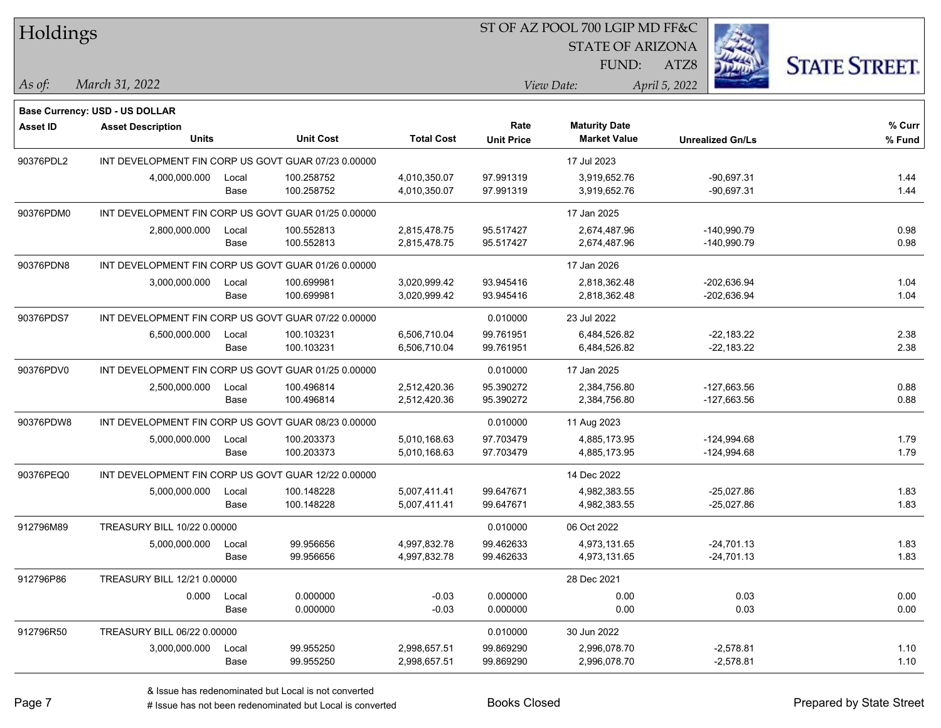| Holdings        |                                    |       |                                                     |                   |                   | ST OF AZ POOL 700 LGIP MD FF&C |                         |                      |
|-----------------|------------------------------------|-------|-----------------------------------------------------|-------------------|-------------------|--------------------------------|-------------------------|----------------------|
|                 |                                    |       |                                                     |                   |                   | <b>STATE OF ARIZONA</b>        |                         |                      |
|                 |                                    |       |                                                     |                   |                   | FUND:                          | ATZ8                    | <b>STATE STREET.</b> |
| As of:          | March 31, 2022                     |       |                                                     |                   |                   | View Date:                     | April 5, 2022           |                      |
|                 | Base Currency: USD - US DOLLAR     |       |                                                     |                   |                   |                                |                         |                      |
| <b>Asset ID</b> | <b>Asset Description</b>           |       |                                                     |                   | Rate              | <b>Maturity Date</b>           |                         | % Curr               |
|                 | Units                              |       | <b>Unit Cost</b>                                    | <b>Total Cost</b> | <b>Unit Price</b> | <b>Market Value</b>            | <b>Unrealized Gn/Ls</b> | % Fund               |
| 90376PDL2       |                                    |       | INT DEVELOPMENT FIN CORP US GOVT GUAR 07/23 0.00000 |                   |                   | 17 Jul 2023                    |                         |                      |
|                 | 4,000,000.000                      | Local | 100.258752                                          | 4,010,350.07      | 97.991319         | 3,919,652.76                   | $-90,697.31$            | 1.44                 |
|                 |                                    | Base  | 100.258752                                          | 4,010,350.07      | 97.991319         | 3,919,652.76                   | $-90,697.31$            | 1.44                 |
| 90376PDM0       |                                    |       | INT DEVELOPMENT FIN CORP US GOVT GUAR 01/25 0.00000 |                   |                   | 17 Jan 2025                    |                         |                      |
|                 | 2,800,000.000                      | Local | 100.552813                                          | 2,815,478.75      | 95.517427         | 2,674,487.96                   | $-140,990.79$           | 0.98                 |
|                 |                                    | Base  | 100.552813                                          | 2,815,478.75      | 95.517427         | 2,674,487.96                   | -140,990.79             | 0.98                 |
| 90376PDN8       |                                    |       | INT DEVELOPMENT FIN CORP US GOVT GUAR 01/26 0.00000 |                   |                   | 17 Jan 2026                    |                         |                      |
|                 | 3,000,000.000                      | Local | 100.699981                                          | 3,020,999.42      | 93.945416         | 2,818,362.48                   | $-202,636.94$           | 1.04                 |
|                 |                                    | Base  | 100.699981                                          | 3,020,999.42      | 93.945416         | 2,818,362.48                   | $-202,636.94$           | 1.04                 |
| 90376PDS7       |                                    |       | INT DEVELOPMENT FIN CORP US GOVT GUAR 07/22 0.00000 |                   | 0.010000          | 23 Jul 2022                    |                         |                      |
|                 | 6,500,000.000                      | Local | 100.103231                                          | 6,506,710.04      | 99.761951         | 6,484,526.82                   | $-22,183.22$            | 2.38                 |
|                 |                                    | Base  | 100.103231                                          | 6,506,710.04      | 99.761951         | 6,484,526.82                   | $-22,183.22$            | 2.38                 |
| 90376PDV0       |                                    |       | INT DEVELOPMENT FIN CORP US GOVT GUAR 01/25 0.00000 |                   | 0.010000          | 17 Jan 2025                    |                         |                      |
|                 | 2,500,000.000                      | Local | 100.496814                                          | 2,512,420.36      | 95.390272         | 2,384,756.80                   | $-127,663.56$           | 0.88                 |
|                 |                                    | Base  | 100.496814                                          | 2,512,420.36      | 95.390272         | 2,384,756.80                   | $-127,663.56$           | 0.88                 |
| 90376PDW8       |                                    |       | INT DEVELOPMENT FIN CORP US GOVT GUAR 08/23 0.00000 |                   | 0.010000          | 11 Aug 2023                    |                         |                      |
|                 | 5,000,000.000                      | Local | 100.203373                                          | 5,010,168.63      | 97.703479         | 4,885,173.95                   | $-124,994.68$           | 1.79                 |
|                 |                                    | Base  | 100.203373                                          | 5,010,168.63      | 97.703479         | 4,885,173.95                   | $-124,994.68$           | 1.79                 |
| 90376PEQ0       |                                    |       | INT DEVELOPMENT FIN CORP US GOVT GUAR 12/22 0.00000 |                   |                   | 14 Dec 2022                    |                         |                      |
|                 | 5,000,000.000                      | Local | 100.148228                                          | 5,007,411.41      | 99.647671         | 4,982,383.55                   | $-25,027.86$            | 1.83                 |
|                 |                                    | Base  | 100.148228                                          | 5,007,411.41      | 99.647671         | 4,982,383.55                   | $-25,027.86$            | 1.83                 |
| 912796M89       | <b>TREASURY BILL 10/22 0.00000</b> |       |                                                     |                   | 0.010000          | 06 Oct 2022                    |                         |                      |
|                 | 5,000,000.000                      | Local | 99.956656                                           | 4,997,832.78      | 99.462633         | 4,973,131.65                   | $-24,701.13$            | 1.83                 |
|                 |                                    | Base  | 99.956656                                           | 4,997,832.78      | 99.462633         | 4,973,131.65                   | $-24,701.13$            | 1.83                 |
| 912796P86       | TREASURY BILL 12/21 0.00000        |       |                                                     |                   |                   | 28 Dec 2021                    |                         |                      |
|                 | 0.000                              | Local | 0.000000                                            | $-0.03$           | 0.000000          | 0.00                           | 0.03                    | 0.00                 |
|                 |                                    | Base  | 0.000000                                            | $-0.03$           | 0.000000          | 0.00                           | 0.03                    | 0.00                 |
| 912796R50       | TREASURY BILL 06/22 0.00000        |       |                                                     |                   | 0.010000          | 30 Jun 2022                    |                         |                      |
|                 | 3,000,000.000                      | Local | 99.955250                                           | 2,998,657.51      | 99.869290         | 2,996,078.70                   | $-2,578.81$             | 1.10                 |
|                 |                                    | Base  | 99.955250                                           | 2,998,657.51      | 99.869290         | 2,996,078.70                   | $-2,578.81$             | 1.10                 |

 $\overline{\phantom{0}}$ 

 $\overline{\phantom{0}}$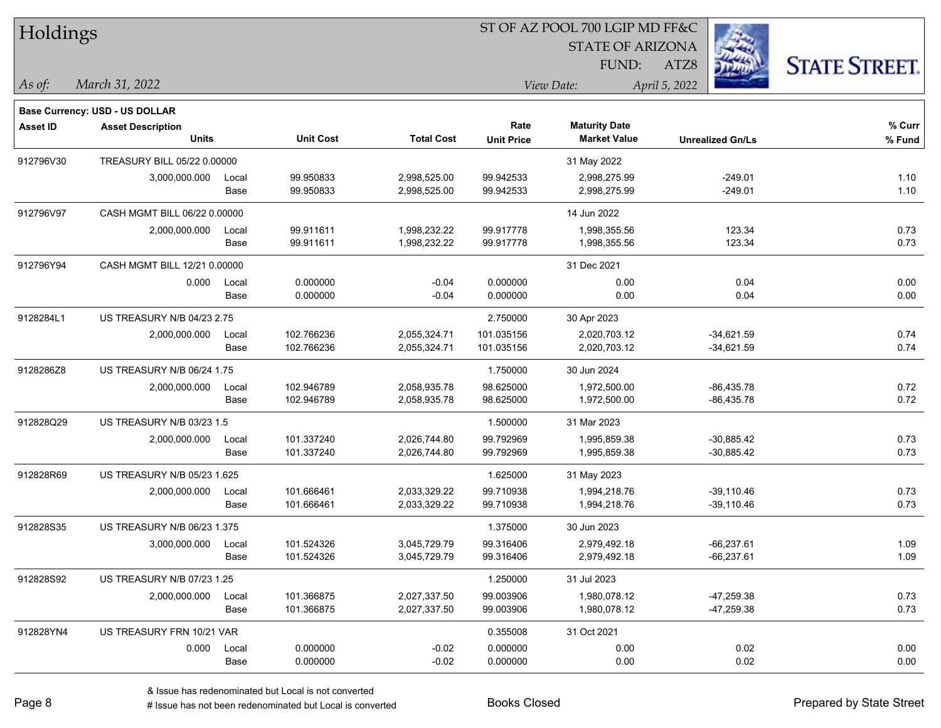| Holdings        |                                       |       |                  |                   |                   | ST OF AZ POOL 700 LGIP MD FF&C |                         |                      |
|-----------------|---------------------------------------|-------|------------------|-------------------|-------------------|--------------------------------|-------------------------|----------------------|
|                 |                                       |       |                  |                   |                   | <b>STATE OF ARIZONA</b>        |                         |                      |
|                 |                                       |       |                  |                   |                   | FUND:                          | ATZ8                    | <b>STATE STREET.</b> |
| As of:          | March 31, 2022                        |       |                  |                   |                   | View Date:                     | April 5, 2022           |                      |
|                 | <b>Base Currency: USD - US DOLLAR</b> |       |                  |                   |                   |                                |                         |                      |
| <b>Asset ID</b> | <b>Asset Description</b>              |       |                  |                   | Rate              | <b>Maturity Date</b>           |                         | % Curr               |
|                 | <b>Units</b>                          |       | <b>Unit Cost</b> | <b>Total Cost</b> | <b>Unit Price</b> | <b>Market Value</b>            | <b>Unrealized Gn/Ls</b> | % Fund               |
| 912796V30       | TREASURY BILL 05/22 0.00000           |       |                  |                   |                   | 31 May 2022                    |                         |                      |
|                 | 3,000,000.000                         | Local | 99.950833        | 2,998,525.00      | 99.942533         | 2,998,275.99                   | $-249.01$               | 1.10                 |
|                 |                                       | Base  | 99.950833        | 2,998,525.00      | 99.942533         | 2,998,275.99                   | $-249.01$               | 1.10                 |
| 912796V97       | CASH MGMT BILL 06/22 0.00000          |       |                  |                   |                   | 14 Jun 2022                    |                         |                      |
|                 | 2,000,000.000                         | Local | 99.911611        | 1,998,232.22      | 99.917778         | 1,998,355.56                   | 123.34                  | 0.73                 |
|                 |                                       | Base  | 99.911611        | 1,998,232.22      | 99.917778         | 1,998,355.56                   | 123.34                  | 0.73                 |
| 912796Y94       | CASH MGMT BILL 12/21 0.00000          |       |                  |                   |                   | 31 Dec 2021                    |                         |                      |
|                 | 0.000                                 | Local | 0.000000         | $-0.04$           | 0.000000          | 0.00                           | 0.04                    | 0.00                 |
|                 |                                       | Base  | 0.000000         | $-0.04$           | 0.000000          | 0.00                           | 0.04                    | 0.00                 |
| 9128284L1       | US TREASURY N/B 04/23 2.75            |       |                  |                   | 2.750000          | 30 Apr 2023                    |                         |                      |
|                 | 2,000,000.000                         | Local | 102.766236       | 2,055,324.71      | 101.035156        | 2,020,703.12                   | $-34,621.59$            | 0.74                 |
|                 |                                       | Base  | 102.766236       | 2,055,324.71      | 101.035156        | 2,020,703.12                   | $-34,621.59$            | 0.74                 |
| 9128286Z8       | US TREASURY N/B 06/24 1.75            |       |                  |                   | 1.750000          | 30 Jun 2024                    |                         |                      |
|                 | 2,000,000.000                         | Local | 102.946789       | 2,058,935.78      | 98.625000         | 1,972,500.00                   | $-86,435.78$            | 0.72                 |
|                 |                                       | Base  | 102.946789       | 2,058,935.78      | 98.625000         | 1,972,500.00                   | $-86,435.78$            | 0.72                 |
| 912828Q29       | US TREASURY N/B 03/23 1.5             |       |                  |                   | 1.500000          | 31 Mar 2023                    |                         |                      |
|                 | 2,000,000.000                         | Local | 101.337240       | 2,026,744.80      | 99.792969         | 1,995,859.38                   | $-30,885.42$            | 0.73                 |
|                 |                                       | Base  | 101.337240       | 2,026,744.80      | 99.792969         | 1,995,859.38                   | $-30,885.42$            | 0.73                 |
| 912828R69       | US TREASURY N/B 05/23 1.625           |       |                  |                   | 1.625000          | 31 May 2023                    |                         |                      |
|                 | 2,000,000.000                         | Local | 101.666461       | 2,033,329.22      | 99.710938         | 1,994,218.76                   | $-39,110.46$            | 0.73                 |
|                 |                                       | Base  | 101.666461       | 2,033,329.22      | 99.710938         | 1,994,218.76                   | $-39,110.46$            | 0.73                 |
| 912828S35       | US TREASURY N/B 06/23 1.375           |       |                  |                   | 1.375000          | 30 Jun 2023                    |                         |                      |
|                 | 3,000,000.000                         | Local | 101.524326       | 3,045,729.79      | 99.316406         | 2,979,492.18                   | $-66,237.61$            | 1.09                 |
|                 |                                       | Base  | 101.524326       | 3,045,729.79      | 99.316406         | 2,979,492.18                   | $-66,237.61$            | 1.09                 |
| 912828S92       | US TREASURY N/B 07/23 1.25            |       |                  |                   | 1.250000          | 31 Jul 2023                    |                         |                      |
|                 | 2,000,000.000                         | Local | 101.366875       | 2,027,337.50      | 99.003906         | 1,980,078.12                   | $-47,259.38$            | 0.73                 |
|                 |                                       | Base  | 101.366875       | 2,027,337.50      | 99.003906         | 1,980,078.12                   | $-47,259.38$            | 0.73                 |
| 912828YN4       | US TREASURY FRN 10/21 VAR             |       |                  |                   | 0.355008          | 31 Oct 2021                    |                         |                      |
|                 | 0.000                                 | Local | 0.000000         | $-0.02$           | 0.000000          | 0.00                           | 0.02                    | 0.00                 |
|                 |                                       | Base  | 0.000000         | $-0.02$           | 0.000000          | 0.00                           | 0.02                    | 0.00                 |

٦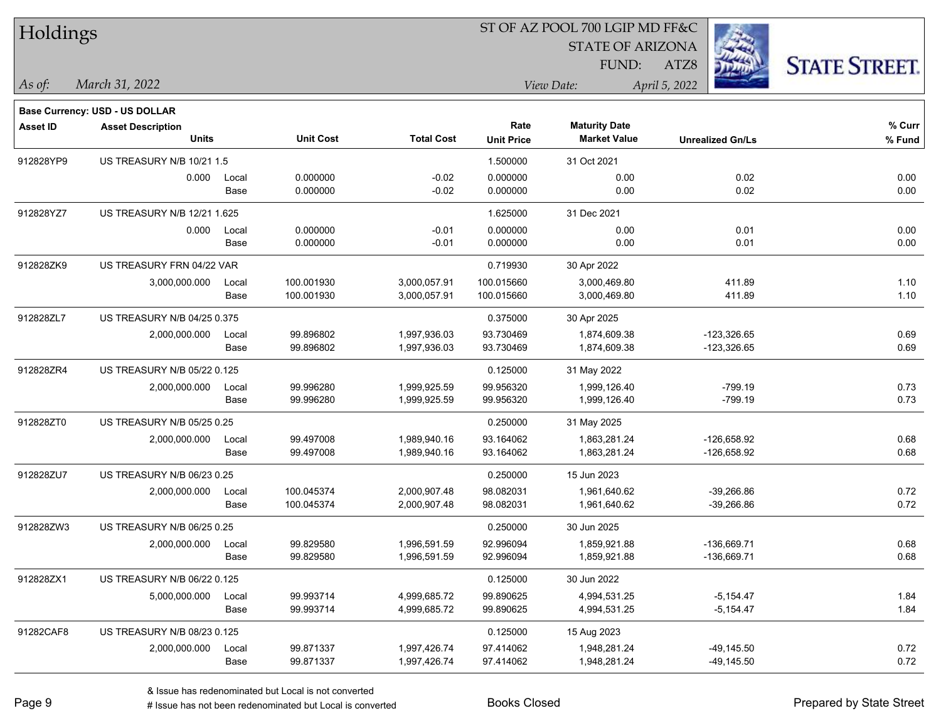| Holdings        |                                                            |       |                  |                   |                   | ST OF AZ POOL 700 LGIP MD FF&C |                         |                      |
|-----------------|------------------------------------------------------------|-------|------------------|-------------------|-------------------|--------------------------------|-------------------------|----------------------|
|                 |                                                            |       |                  |                   |                   | <b>STATE OF ARIZONA</b>        |                         |                      |
|                 |                                                            |       |                  |                   |                   | <b>FUND:</b>                   | ATZ8                    | <b>STATE STREET.</b> |
| As of:          | March 31, 2022                                             |       |                  |                   | View Date:        |                                | April 5, 2022           |                      |
|                 |                                                            |       |                  |                   |                   |                                |                         |                      |
| <b>Asset ID</b> | Base Currency: USD - US DOLLAR<br><b>Asset Description</b> |       |                  |                   | Rate              | <b>Maturity Date</b>           |                         | % Curr               |
|                 | Units                                                      |       | <b>Unit Cost</b> | <b>Total Cost</b> | <b>Unit Price</b> | <b>Market Value</b>            | <b>Unrealized Gn/Ls</b> | $%$ Fund             |
| 912828YP9       | US TREASURY N/B 10/21 1.5                                  |       |                  |                   | 1.500000          | 31 Oct 2021                    |                         |                      |
|                 | 0.000                                                      | Local | 0.000000         | $-0.02$           | 0.000000          | 0.00                           | 0.02                    | 0.00                 |
|                 |                                                            | Base  | 0.000000         | $-0.02$           | 0.000000          | 0.00                           | 0.02                    | 0.00                 |
| 912828YZ7       | US TREASURY N/B 12/21 1.625                                |       |                  |                   | 1.625000          | 31 Dec 2021                    |                         |                      |
|                 | 0.000                                                      | Local | 0.000000         | $-0.01$           | 0.000000          | 0.00                           | 0.01                    | 0.00                 |
|                 |                                                            | Base  | 0.000000         | $-0.01$           | 0.000000          | 0.00                           | 0.01                    | 0.00                 |
| 912828ZK9       | US TREASURY FRN 04/22 VAR                                  |       |                  |                   | 0.719930          | 30 Apr 2022                    |                         |                      |
|                 | 3,000,000.000                                              | Local | 100.001930       | 3,000,057.91      | 100.015660        | 3,000,469.80                   | 411.89                  | 1.10                 |
|                 |                                                            | Base  | 100.001930       | 3,000,057.91      | 100.015660        | 3,000,469.80                   | 411.89                  | 1.10                 |
| 912828ZL7       | US TREASURY N/B 04/25 0.375                                |       |                  |                   | 0.375000          | 30 Apr 2025                    |                         |                      |
|                 | 2,000,000.000                                              | Local | 99.896802        | 1,997,936.03      | 93.730469         | 1,874,609.38                   | $-123,326.65$           | 0.69                 |
|                 |                                                            | Base  | 99.896802        | 1,997,936.03      | 93.730469         | 1,874,609.38                   | $-123,326.65$           | 0.69                 |
| 912828ZR4       | US TREASURY N/B 05/22 0.125                                |       |                  |                   | 0.125000          | 31 May 2022                    |                         |                      |
|                 | 2,000,000.000                                              | Local | 99.996280        | 1,999,925.59      | 99.956320         | 1,999,126.40                   | -799.19                 | 0.73                 |
|                 |                                                            | Base  | 99.996280        | 1,999,925.59      | 99.956320         | 1,999,126.40                   | $-799.19$               | 0.73                 |
| 912828ZT0       | US TREASURY N/B 05/25 0.25                                 |       |                  |                   | 0.250000          | 31 May 2025                    |                         |                      |
|                 | 2,000,000.000                                              | Local | 99.497008        | 1,989,940.16      | 93.164062         | 1,863,281.24                   | -126,658.92             | 0.68                 |
|                 |                                                            | Base  | 99.497008        | 1,989,940.16      | 93.164062         | 1,863,281.24                   | $-126,658.92$           | 0.68                 |
| 912828ZU7       | US TREASURY N/B 06/23 0.25                                 |       |                  |                   | 0.250000          | 15 Jun 2023                    |                         |                      |
|                 | 2,000,000.000                                              | Local | 100.045374       | 2,000,907.48      | 98.082031         | 1,961,640.62                   | $-39,266.86$            | 0.72                 |
|                 |                                                            | Base  | 100.045374       | 2,000,907.48      | 98.082031         | 1,961,640.62                   | $-39,266.86$            | 0.72                 |
| 912828ZW3       | <b>US TREASURY N/B 06/25 0.25</b>                          |       |                  |                   | 0.250000          | 30 Jun 2025                    |                         |                      |
|                 | 2,000,000.000                                              | Local | 99.829580        | 1,996,591.59      | 92.996094         | 1,859,921.88                   | $-136,669.71$           | 0.68                 |
|                 |                                                            | Base  | 99.829580        | 1,996,591.59      | 92.996094         | 1,859,921.88                   | $-136,669.71$           | 0.68                 |
| 912828ZX1       | US TREASURY N/B 06/22 0.125                                |       |                  |                   | 0.125000          | 30 Jun 2022                    |                         |                      |
|                 | 5,000,000.000                                              | Local | 99.993714        | 4,999,685.72      | 99.890625         | 4,994,531.25                   | $-5,154.47$             | 1.84                 |
|                 |                                                            | Base  | 99.993714        | 4,999,685.72      | 99.890625         | 4,994,531.25                   | $-5,154.47$             | 1.84                 |
| 91282CAF8       | US TREASURY N/B 08/23 0.125                                |       |                  |                   | 0.125000          | 15 Aug 2023                    |                         |                      |
|                 | 2,000,000.000                                              | Local | 99.871337        | 1,997,426.74      | 97.414062         | 1,948,281.24                   | $-49,145.50$            | 0.72                 |
|                 |                                                            | Base  | 99.871337        | 1,997,426.74      | 97.414062         | 1,948,281.24                   | $-49,145.50$            | 0.72                 |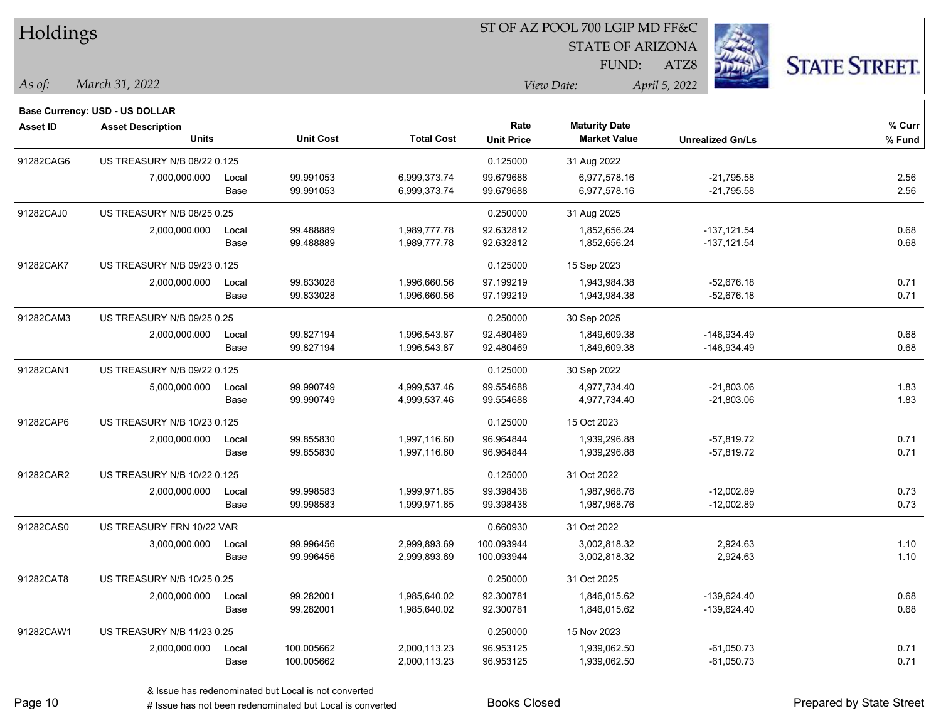| Holdings        |                                       |       |                  |                   |                   | 51 OF AZ POOL 700 LGIP MD FF&C |                         |                      |
|-----------------|---------------------------------------|-------|------------------|-------------------|-------------------|--------------------------------|-------------------------|----------------------|
|                 |                                       |       |                  |                   |                   | <b>STATE OF ARIZONA</b>        | 33                      |                      |
|                 |                                       |       |                  |                   |                   | <b>FUND:</b>                   | ATZ8                    | <b>STATE STREET.</b> |
|                 | March 31, 2022                        |       |                  |                   |                   | View Date:                     |                         |                      |
| As of:          |                                       |       |                  |                   |                   |                                | April 5, 2022           |                      |
|                 | <b>Base Currency: USD - US DOLLAR</b> |       |                  |                   |                   |                                |                         |                      |
| <b>Asset ID</b> | <b>Asset Description</b>              |       |                  |                   | Rate              | <b>Maturity Date</b>           |                         | % Curr               |
|                 | <b>Units</b>                          |       | <b>Unit Cost</b> | <b>Total Cost</b> | <b>Unit Price</b> | <b>Market Value</b>            | <b>Unrealized Gn/Ls</b> | % Fund               |
| 91282CAG6       | US TREASURY N/B 08/22 0.125           |       |                  |                   | 0.125000          | 31 Aug 2022                    |                         |                      |
|                 | 7,000,000.000                         | Local | 99.991053        | 6,999,373.74      | 99.679688         | 6,977,578.16                   | $-21,795.58$            | 2.56                 |
|                 |                                       | Base  | 99.991053        | 6,999,373.74      | 99.679688         | 6,977,578.16                   | $-21,795.58$            | 2.56                 |
| 91282CAJ0       | US TREASURY N/B 08/25 0.25            |       |                  |                   | 0.250000          | 31 Aug 2025                    |                         |                      |
|                 | 2,000,000.000                         | Local | 99.488889        | 1,989,777.78      | 92.632812         | 1,852,656.24                   | $-137, 121.54$          | 0.68                 |
|                 |                                       | Base  | 99.488889        | 1,989,777.78      | 92.632812         | 1,852,656.24                   | $-137,121.54$           | 0.68                 |
| 91282CAK7       | US TREASURY N/B 09/23 0.125           |       |                  |                   | 0.125000          | 15 Sep 2023                    |                         |                      |
|                 | 2,000,000.000                         | Local | 99.833028        | 1,996,660.56      | 97.199219         | 1,943,984.38                   | $-52,676.18$            | 0.71                 |
|                 |                                       | Base  | 99.833028        | 1,996,660.56      | 97.199219         | 1,943,984.38                   | -52,676.18              | 0.71                 |
| 91282CAM3       | US TREASURY N/B 09/25 0.25            |       |                  |                   | 0.250000          | 30 Sep 2025                    |                         |                      |
|                 | 2,000,000.000                         | Local | 99.827194        | 1,996,543.87      | 92.480469         | 1,849,609.38                   | $-146,934.49$           | 0.68                 |
|                 |                                       | Base  | 99.827194        | 1,996,543.87      | 92.480469         | 1,849,609.38                   | $-146,934.49$           | 0.68                 |
| 91282CAN1       | US TREASURY N/B 09/22 0.125           |       |                  |                   | 0.125000          | 30 Sep 2022                    |                         |                      |
|                 | 5,000,000.000                         | Local | 99.990749        | 4,999,537.46      | 99.554688         | 4,977,734.40                   | $-21,803.06$            | 1.83                 |
|                 |                                       | Base  | 99.990749        | 4,999,537.46      | 99.554688         | 4,977,734.40                   | $-21,803.06$            | 1.83                 |
| 91282CAP6       | US TREASURY N/B 10/23 0.125           |       |                  |                   | 0.125000          | 15 Oct 2023                    |                         |                      |
|                 | 2,000,000.000                         | Local | 99.855830        | 1,997,116.60      | 96.964844         | 1,939,296.88                   | $-57,819.72$            | 0.71                 |
|                 |                                       | Base  | 99.855830        | 1,997,116.60      | 96.964844         | 1,939,296.88                   | -57,819.72              | 0.71                 |
| 91282CAR2       | US TREASURY N/B 10/22 0.125           |       |                  |                   | 0.125000          | 31 Oct 2022                    |                         |                      |
|                 | 2,000,000.000                         | Local | 99.998583        | 1,999,971.65      | 99.398438         | 1,987,968.76                   | $-12,002.89$            | 0.73                 |
|                 |                                       | Base  | 99.998583        | 1,999,971.65      | 99.398438         | 1,987,968.76                   | $-12,002.89$            | 0.73                 |
| 91282CAS0       | US TREASURY FRN 10/22 VAR             |       |                  |                   | 0.660930          | 31 Oct 2022                    |                         |                      |
|                 | 3,000,000.000                         | Local | 99.996456        | 2,999,893.69      | 100.093944        | 3,002,818.32                   | 2,924.63                | 1.10                 |
|                 |                                       | Base  | 99.996456        | 2,999,893.69      | 100.093944        | 3,002,818.32                   | 2,924.63                | 1.10                 |
| 91282CAT8       | US TREASURY N/B 10/25 0.25            |       |                  |                   | 0.250000          | 31 Oct 2025                    |                         |                      |
|                 | 2,000,000.000                         | Local | 99.282001        | 1,985,640.02      | 92.300781         | 1,846,015.62                   | $-139,624.40$           | 0.68                 |
|                 |                                       | Base  | 99.282001        | 1,985,640.02      | 92.300781         | 1,846,015.62                   | -139,624.40             | 0.68                 |
| 91282CAW1       | US TREASURY N/B 11/23 0.25            |       |                  |                   | 0.250000          | 15 Nov 2023                    |                         |                      |
|                 | 2,000,000.000                         | Local | 100.005662       | 2,000,113.23      | 96.953125         | 1,939,062.50                   | $-61,050.73$            | 0.71                 |
|                 |                                       | Base  | 100.005662       | 2,000,113.23      | 96.953125         | 1,939,062.50                   | $-61,050.73$            | 0.71                 |

 $ST$  OF A Z POOL 700 LCIP MD FF&C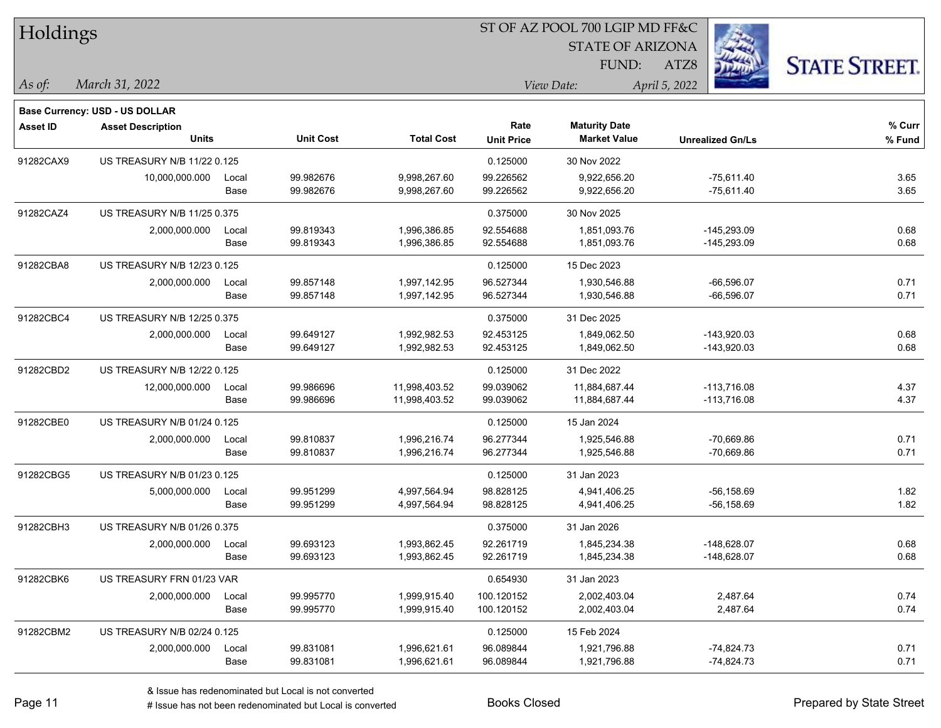| Holdings        |                                          |       |                  |                   |                   | ST OF AZ POOL 700 LGIP MD FF&C              |                         |                      |
|-----------------|------------------------------------------|-------|------------------|-------------------|-------------------|---------------------------------------------|-------------------------|----------------------|
|                 |                                          |       |                  |                   |                   | <b>STATE OF ARIZONA</b>                     |                         |                      |
|                 |                                          |       |                  |                   |                   | FUND:                                       | ATZ8                    | <b>STATE STREET.</b> |
| $\vert$ As of:  | March 31, 2022                           |       |                  |                   |                   | View Date:                                  | April 5, 2022           |                      |
|                 |                                          |       |                  |                   |                   |                                             |                         |                      |
|                 | <b>Base Currency: USD - US DOLLAR</b>    |       |                  |                   | Rate              |                                             |                         | % Curr               |
| <b>Asset ID</b> | <b>Asset Description</b><br><b>Units</b> |       | <b>Unit Cost</b> | <b>Total Cost</b> | <b>Unit Price</b> | <b>Maturity Date</b><br><b>Market Value</b> | <b>Unrealized Gn/Ls</b> | % Fund               |
| 91282CAX9       | US TREASURY N/B 11/22 0.125              |       |                  |                   | 0.125000          | 30 Nov 2022                                 |                         |                      |
|                 | 10,000,000.000                           | Local | 99.982676        | 9,998,267.60      | 99.226562         | 9.922.656.20                                | $-75,611.40$            | 3.65                 |
|                 |                                          | Base  | 99.982676        | 9,998,267.60      | 99.226562         | 9,922,656.20                                | $-75,611.40$            | 3.65                 |
| 91282CAZ4       | US TREASURY N/B 11/25 0.375              |       |                  |                   | 0.375000          | 30 Nov 2025                                 |                         |                      |
|                 | 2,000,000.000                            | Local | 99.819343        | 1,996,386.85      | 92.554688         | 1,851,093.76                                | $-145,293.09$           | 0.68                 |
|                 |                                          | Base  | 99.819343        | 1,996,386.85      | 92.554688         | 1,851,093.76                                | $-145,293.09$           | 0.68                 |
| 91282CBA8       | US TREASURY N/B 12/23 0.125              |       |                  |                   | 0.125000          | 15 Dec 2023                                 |                         |                      |
|                 | 2,000,000.000                            | Local | 99.857148        | 1,997,142.95      | 96.527344         | 1,930,546.88                                | $-66,596.07$            | 0.71                 |
|                 |                                          | Base  | 99.857148        | 1,997,142.95      | 96.527344         | 1,930,546.88                                | $-66,596.07$            | 0.71                 |
| 91282CBC4       | US TREASURY N/B 12/25 0.375              |       |                  |                   | 0.375000          | 31 Dec 2025                                 |                         |                      |
|                 | 2,000,000.000                            | Local | 99.649127        | 1,992,982.53      | 92.453125         | 1,849,062.50                                | $-143,920.03$           | 0.68                 |
|                 |                                          | Base  | 99.649127        | 1,992,982.53      | 92.453125         | 1,849,062.50                                | $-143,920.03$           | 0.68                 |
| 91282CBD2       | US TREASURY N/B 12/22 0.125              |       |                  |                   | 0.125000          | 31 Dec 2022                                 |                         |                      |
|                 | 12,000,000.000                           | Local | 99.986696        | 11,998,403.52     | 99.039062         | 11,884,687.44                               | $-113,716.08$           | 4.37                 |
|                 |                                          | Base  | 99.986696        | 11,998,403.52     | 99.039062         | 11,884,687.44                               | -113,716.08             | 4.37                 |
| 91282CBE0       | US TREASURY N/B 01/24 0.125              |       |                  |                   | 0.125000          | 15 Jan 2024                                 |                         |                      |
|                 | 2,000,000.000                            | Local | 99.810837        | 1,996,216.74      | 96.277344         | 1,925,546.88                                | $-70,669.86$            | 0.71                 |
|                 |                                          | Base  | 99.810837        | 1,996,216.74      | 96.277344         | 1,925,546.88                                | -70,669.86              | 0.71                 |
| 91282CBG5       | US TREASURY N/B 01/23 0.125              |       |                  |                   | 0.125000          | 31 Jan 2023                                 |                         |                      |
|                 | 5,000,000.000                            | Local | 99.951299        | 4,997,564.94      | 98.828125         | 4,941,406.25                                | $-56, 158.69$           | 1.82                 |
|                 |                                          | Base  | 99.951299        | 4,997,564.94      | 98.828125         | 4,941,406.25                                | -56,158.69              | 1.82                 |
| 91282CBH3       | US TREASURY N/B 01/26 0.375              |       |                  |                   | 0.375000          | 31 Jan 2026                                 |                         |                      |
|                 | 2,000,000.000                            | Local | 99.693123        | 1,993,862.45      | 92.261719         | 1,845,234.38                                | $-148,628.07$           | 0.68                 |
|                 |                                          | Base  | 99.693123        | 1,993,862.45      | 92.261719         | 1,845,234.38                                | $-148,628.07$           | 0.68                 |
| 91282CBK6       | US TREASURY FRN 01/23 VAR                |       |                  |                   | 0.654930          | 31 Jan 2023                                 |                         |                      |
|                 | 2,000,000.000                            | Local | 99.995770        | 1,999,915.40      | 100.120152        | 2,002,403.04                                | 2,487.64                | 0.74                 |
|                 |                                          | Base  | 99.995770        | 1,999,915.40      | 100.120152        | 2,002,403.04                                | 2,487.64                | 0.74                 |
| 91282CBM2       | US TREASURY N/B 02/24 0.125              |       |                  |                   | 0.125000          | 15 Feb 2024                                 |                         |                      |
|                 | 2,000,000.000                            | Local | 99.831081        | 1,996,621.61      | 96.089844         | 1,921,796.88                                | $-74,824.73$            | 0.71                 |
|                 |                                          | Base  | 99.831081        | 1,996,621.61      | 96.089844         | 1,921,796.88                                | $-74,824.73$            | 0.71                 |

# Issue has not been redenominated but Local is converted Books Closed Prepared by State Street

# Holdings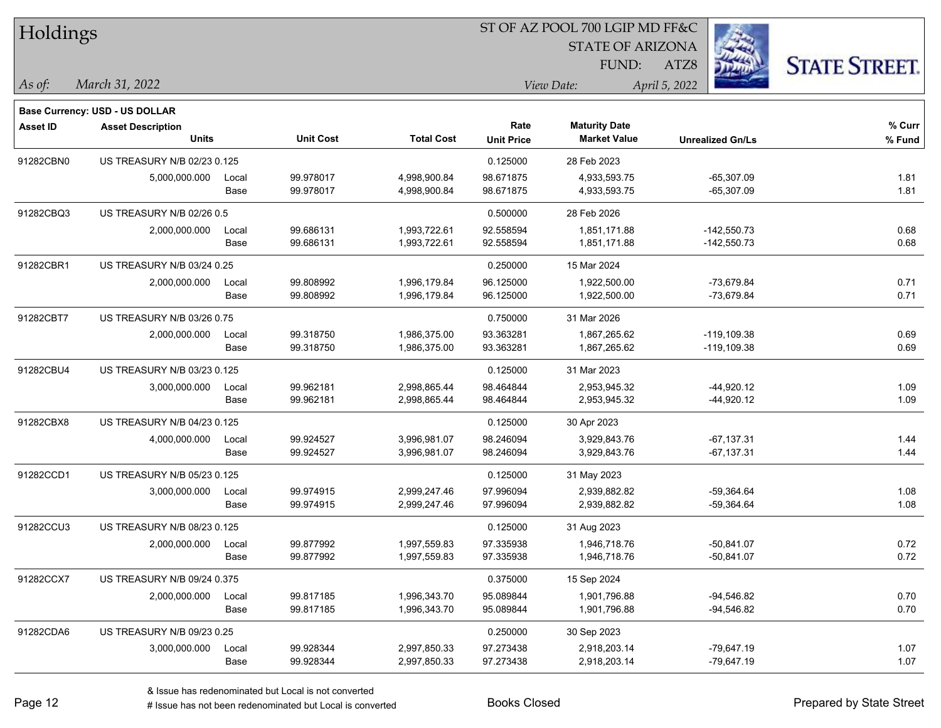| Holdings        |                                   |       |                  |                   | ST OF AZ POOL 700 LGIP MD FF&C |                         |                         |                      |  |  |  |
|-----------------|-----------------------------------|-------|------------------|-------------------|--------------------------------|-------------------------|-------------------------|----------------------|--|--|--|
|                 |                                   |       |                  |                   |                                | <b>STATE OF ARIZONA</b> | Ź,                      |                      |  |  |  |
|                 |                                   |       |                  |                   |                                | FUND:                   | ATZ8                    | <b>STATE STREET.</b> |  |  |  |
|                 |                                   |       |                  |                   |                                |                         |                         |                      |  |  |  |
| As of:          | March 31, 2022                    |       |                  |                   |                                | View Date:              | April 5, 2022           |                      |  |  |  |
|                 | Base Currency: USD - US DOLLAR    |       |                  |                   |                                |                         |                         |                      |  |  |  |
| <b>Asset ID</b> | <b>Asset Description</b>          |       |                  |                   | Rate                           | <b>Maturity Date</b>    |                         | % Curr               |  |  |  |
|                 | <b>Units</b>                      |       | <b>Unit Cost</b> | <b>Total Cost</b> | <b>Unit Price</b>              | <b>Market Value</b>     | <b>Unrealized Gn/Ls</b> | % Fund               |  |  |  |
| 91282CBN0       | US TREASURY N/B 02/23 0.125       |       |                  |                   | 0.125000                       | 28 Feb 2023             |                         |                      |  |  |  |
|                 | 5,000,000.000                     | Local | 99.978017        | 4,998,900.84      | 98.671875                      | 4,933,593.75            | $-65,307.09$            | 1.81                 |  |  |  |
|                 |                                   | Base  | 99.978017        | 4,998,900.84      | 98.671875                      | 4,933,593.75            | $-65,307.09$            | 1.81                 |  |  |  |
| 91282CBQ3       | US TREASURY N/B 02/26 0.5         |       |                  |                   | 0.500000                       | 28 Feb 2026             |                         |                      |  |  |  |
|                 | 2,000,000.000                     | Local | 99.686131        | 1,993,722.61      | 92.558594                      | 1,851,171.88            | $-142,550.73$           | 0.68                 |  |  |  |
|                 |                                   | Base  | 99.686131        | 1,993,722.61      | 92.558594                      | 1,851,171.88            | $-142,550.73$           | 0.68                 |  |  |  |
| 91282CBR1       | US TREASURY N/B 03/24 0.25        |       |                  |                   | 0.250000                       | 15 Mar 2024             |                         |                      |  |  |  |
|                 | 2,000,000.000                     | Local | 99.808992        | 1,996,179.84      | 96.125000                      | 1,922,500.00            | $-73,679.84$            | 0.71                 |  |  |  |
|                 |                                   | Base  | 99.808992        | 1,996,179.84      | 96.125000                      | 1,922,500.00            | $-73,679.84$            | 0.71                 |  |  |  |
| 91282CBT7       | <b>US TREASURY N/B 03/26 0.75</b> |       |                  |                   | 0.750000                       | 31 Mar 2026             |                         |                      |  |  |  |
|                 | 2,000,000.000                     | Local | 99.318750        | 1,986,375.00      | 93.363281                      | 1,867,265.62            | $-119, 109.38$          | 0.69                 |  |  |  |
|                 |                                   | Base  | 99.318750        | 1,986,375.00      | 93.363281                      | 1,867,265.62            | $-119,109.38$           | 0.69                 |  |  |  |
| 91282CBU4       | US TREASURY N/B 03/23 0.125       |       |                  |                   | 0.125000                       | 31 Mar 2023             |                         |                      |  |  |  |
|                 | 3,000,000.000                     | Local | 99.962181        | 2,998,865.44      | 98.464844                      | 2,953,945.32            | $-44,920.12$            | 1.09                 |  |  |  |
|                 |                                   | Base  | 99.962181        | 2,998,865.44      | 98.464844                      | 2,953,945.32            | $-44,920.12$            | 1.09                 |  |  |  |
| 91282CBX8       | US TREASURY N/B 04/23 0.125       |       |                  |                   | 0.125000                       | 30 Apr 2023             |                         |                      |  |  |  |
|                 | 4,000,000.000                     | Local | 99.924527        | 3,996,981.07      | 98.246094                      | 3,929,843.76            | $-67,137.31$            | 1.44                 |  |  |  |
|                 |                                   | Base  | 99.924527        | 3,996,981.07      | 98.246094                      | 3,929,843.76            | $-67,137.31$            | 1.44                 |  |  |  |
| 91282CCD1       | US TREASURY N/B 05/23 0.125       |       |                  |                   | 0.125000                       | 31 May 2023             |                         |                      |  |  |  |
|                 | 3,000,000.000                     | Local | 99.974915        | 2,999,247.46      | 97.996094                      | 2,939,882.82            | $-59,364.64$            | 1.08                 |  |  |  |
|                 |                                   | Base  | 99.974915        | 2,999,247.46      | 97.996094                      | 2,939,882.82            | $-59,364.64$            | 1.08                 |  |  |  |
| 91282CCU3       | US TREASURY N/B 08/23 0.125       |       |                  |                   | 0.125000                       | 31 Aug 2023             |                         |                      |  |  |  |
|                 | 2,000,000.000                     | Local | 99.877992        | 1,997,559.83      | 97.335938                      | 1,946,718.76            | $-50,841.07$            | 0.72                 |  |  |  |
|                 |                                   | Base  | 99.877992        | 1,997,559.83      | 97.335938                      | 1,946,718.76            | -50,841.07              | 0.72                 |  |  |  |
| 91282CCX7       | US TREASURY N/B 09/24 0.375       |       |                  |                   | 0.375000                       | 15 Sep 2024             |                         |                      |  |  |  |
|                 | 2,000,000.000                     | Local | 99.817185        | 1,996,343.70      | 95.089844                      | 1,901,796.88            | -94,546.82              | 0.70                 |  |  |  |
|                 |                                   | Base  | 99.817185        | 1,996,343.70      | 95.089844                      | 1,901,796.88            | -94,546.82              | 0.70                 |  |  |  |
| 91282CDA6       | US TREASURY N/B 09/23 0.25        |       |                  |                   | 0.250000                       | 30 Sep 2023             |                         |                      |  |  |  |
|                 | 3,000,000.000                     | Local | 99.928344        | 2,997,850.33      | 97.273438                      | 2,918,203.14            | $-79,647.19$            | 1.07                 |  |  |  |
|                 |                                   | Base  | 99.928344        | 2,997,850.33      | 97.273438                      | 2,918,203.14            | $-79,647.19$            | 1.07                 |  |  |  |

 $\overline{S}$   $\overline{S}$   $\overline{S}$   $\overline{S}$   $\overline{S}$   $\overline{S}$   $\overline{S}$   $\overline{S}$   $\overline{S}$   $\overline{S}$   $\overline{S}$   $\overline{S}$   $\overline{S}$   $\overline{S}$   $\overline{S}$   $\overline{S}$   $\overline{S}$   $\overline{S}$   $\overline{S}$   $\overline{S}$   $\overline{S}$   $\overline{S}$   $\overline{S}$   $\overline{S}$   $\overline{$ 

٦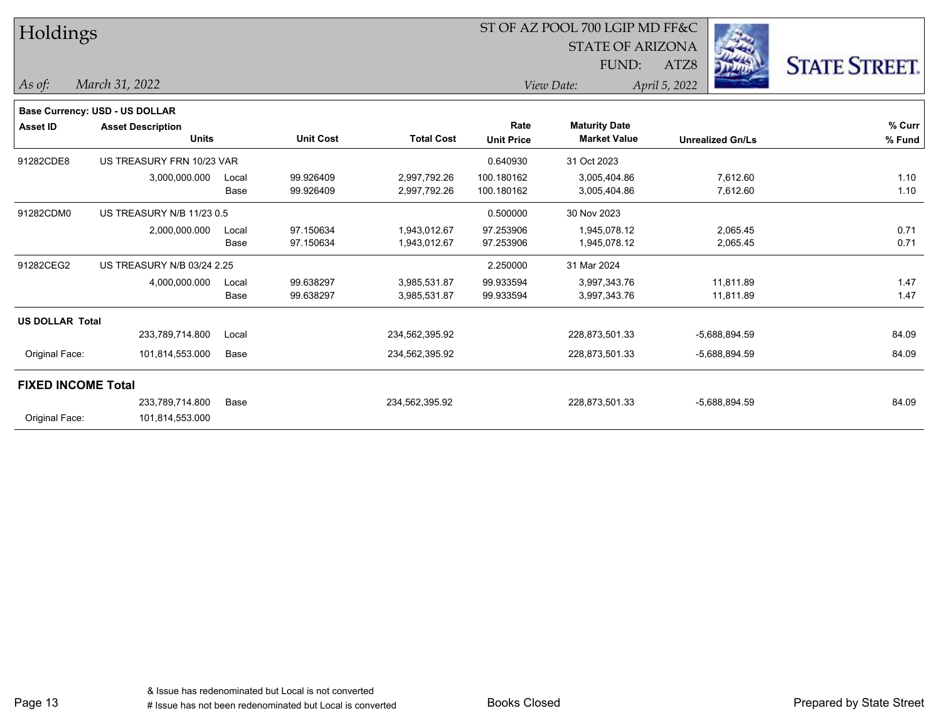| Holdings                  |                                          |               |                        |                              |                           | ST OF AZ POOL 700 LGIP MD FF&C<br><b>STATE OF ARIZONA</b> |      |                         |                      |
|---------------------------|------------------------------------------|---------------|------------------------|------------------------------|---------------------------|-----------------------------------------------------------|------|-------------------------|----------------------|
|                           |                                          |               |                        |                              |                           | FUND:                                                     | ATZ8 | Land                    | <b>STATE STREET.</b> |
| As of:                    | March 31, 2022                           |               |                        |                              |                           | April 5, 2022<br>View Date:                               |      |                         |                      |
|                           | <b>Base Currency: USD - US DOLLAR</b>    |               |                        |                              |                           |                                                           |      |                         |                      |
| <b>Asset ID</b>           | <b>Asset Description</b><br><b>Units</b> |               | <b>Unit Cost</b>       | <b>Total Cost</b>            | Rate<br><b>Unit Price</b> | <b>Maturity Date</b><br><b>Market Value</b>               |      | <b>Unrealized Gn/Ls</b> | % Curr<br>% Fund     |
| 91282CDE8                 | US TREASURY FRN 10/23 VAR                |               |                        |                              | 0.640930                  | 31 Oct 2023                                               |      |                         |                      |
|                           | 3,000,000.000                            | Local<br>Base | 99.926409<br>99.926409 | 2,997,792.26<br>2,997,792.26 | 100.180162<br>100.180162  | 3,005,404.86<br>3,005,404.86                              |      | 7,612.60<br>7,612.60    | 1.10<br>1.10         |
| 91282CDM0                 | US TREASURY N/B 11/23 0.5                |               |                        |                              | 0.500000                  | 30 Nov 2023                                               |      |                         |                      |
|                           | 2,000,000.000                            | Local<br>Base | 97.150634<br>97.150634 | 1,943,012.67<br>1,943,012.67 | 97.253906<br>97.253906    | 1,945,078.12<br>1,945,078.12                              |      | 2,065.45<br>2,065.45    | 0.71<br>0.71         |
| 91282CEG2                 | US TREASURY N/B 03/24 2.25               |               |                        |                              | 2.250000                  | 31 Mar 2024                                               |      |                         |                      |
|                           | 4,000,000.000                            | Local<br>Base | 99.638297<br>99.638297 | 3,985,531.87<br>3,985,531.87 | 99.933594<br>99.933594    | 3,997,343.76<br>3,997,343.76                              |      | 11,811.89<br>11,811.89  | 1.47<br>1.47         |
| <b>US DOLLAR Total</b>    |                                          |               |                        |                              |                           |                                                           |      |                         |                      |
|                           | 233,789,714.800                          | Local         |                        | 234,562,395.92               |                           | 228,873,501.33                                            |      | $-5,688,894.59$         | 84.09                |
| Original Face:            | 101,814,553.000                          | Base          |                        | 234,562,395.92               |                           | 228,873,501.33                                            |      | -5,688,894.59           | 84.09                |
| <b>FIXED INCOME Total</b> |                                          |               |                        |                              |                           |                                                           |      |                         |                      |
|                           | 233,789,714.800                          | Base          |                        | 234,562,395.92               |                           | 228,873,501.33                                            |      | $-5,688,894.59$         | 84.09                |
| Original Face:            | 101,814,553.000                          |               |                        |                              |                           |                                                           |      |                         |                      |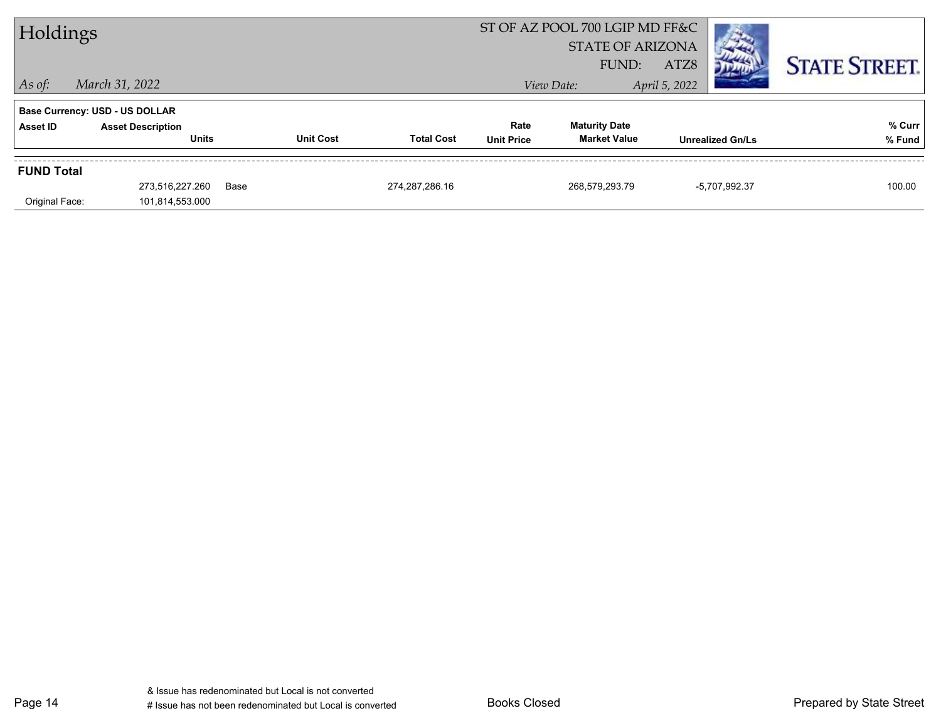| Holdings          |                                       |      |                                       | ST OF AZ POOL 700 LGIP MD FF&C |                         |                         |                      |
|-------------------|---------------------------------------|------|---------------------------------------|--------------------------------|-------------------------|-------------------------|----------------------|
|                   |                                       |      |                                       |                                | <b>STATE OF ARIZONA</b> |                         |                      |
|                   |                                       |      |                                       |                                | FUND:                   | ATZ8                    | <b>STATE STREET.</b> |
| $ $ As of:        | March 31, 2022                        |      |                                       |                                | View Date:              | April 5, 2022           |                      |
|                   | <b>Base Currency: USD - US DOLLAR</b> |      |                                       |                                |                         |                         |                      |
| Asset ID          | <b>Asset Description</b>              |      |                                       | Rate                           | <b>Maturity Date</b>    |                         | % Curr               |
|                   | <b>Units</b>                          |      | <b>Unit Cost</b><br><b>Total Cost</b> | <b>Unit Price</b>              | <b>Market Value</b>     | <b>Unrealized Gn/Ls</b> | % Fund               |
| <b>FUND Total</b> |                                       |      |                                       |                                |                         |                         |                      |
|                   | 273,516,227.260                       | Base | 274, 287, 286. 16                     |                                | 268,579,293.79          | -5,707,992.37           | 100.00               |
| Original Face:    | 101,814,553.000                       |      |                                       |                                |                         |                         |                      |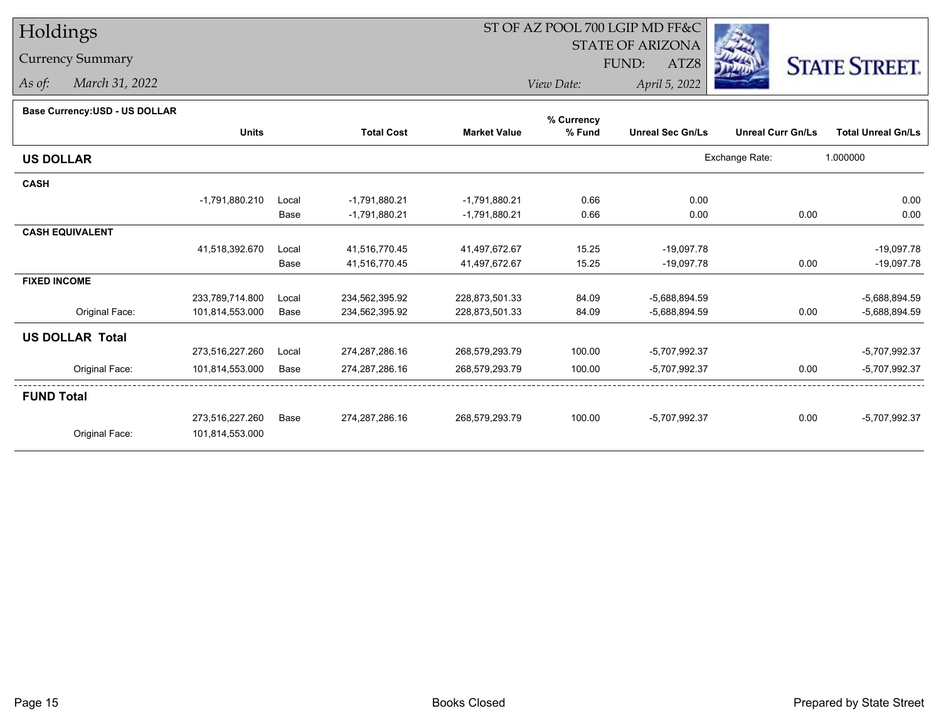# Holdings

Currency Summary

*As of: March 31, 2022*

# ST OF AZ POOL 700 LGIP MD FF&C

STATE OF ARIZONA

ATZ8



*View Date: April 5, 2022* FUND:

#### **Base Currency:USD - US DOLLAR**

|                        |                 |       |                   |                     | % Currency |                         |                          |                           |
|------------------------|-----------------|-------|-------------------|---------------------|------------|-------------------------|--------------------------|---------------------------|
|                        | <b>Units</b>    |       | <b>Total Cost</b> | <b>Market Value</b> | % Fund     | <b>Unreal Sec Gn/Ls</b> | <b>Unreal Curr Gn/Ls</b> | <b>Total Unreal Gn/Ls</b> |
| <b>US DOLLAR</b>       |                 |       |                   |                     |            |                         | Exchange Rate:           | 1.000000                  |
| <b>CASH</b>            |                 |       |                   |                     |            |                         |                          |                           |
|                        | -1,791,880.210  | Local | -1,791,880.21     | -1,791,880.21       | 0.66       | 0.00                    |                          | 0.00                      |
|                        |                 | Base  | -1,791,880.21     | -1,791,880.21       | 0.66       | 0.00                    | 0.00                     | 0.00                      |
| <b>CASH EQUIVALENT</b> |                 |       |                   |                     |            |                         |                          |                           |
|                        | 41,518,392.670  | Local | 41,516,770.45     | 41,497,672.67       | 15.25      | $-19,097.78$            |                          | $-19,097.78$              |
|                        |                 | Base  | 41,516,770.45     | 41,497,672.67       | 15.25      | $-19,097.78$            | 0.00                     | $-19,097.78$              |
| <b>FIXED INCOME</b>    |                 |       |                   |                     |            |                         |                          |                           |
|                        | 233,789,714.800 | Local | 234,562,395.92    | 228,873,501.33      | 84.09      | $-5,688,894.59$         |                          | $-5,688,894.59$           |
| Original Face:         | 101,814,553.000 | Base  | 234,562,395.92    | 228,873,501.33      | 84.09      | -5,688,894.59           | 0.00                     | $-5,688,894.59$           |
| <b>US DOLLAR Total</b> |                 |       |                   |                     |            |                         |                          |                           |
|                        | 273,516,227.260 | Local | 274,287,286.16    | 268,579,293.79      | 100.00     | -5,707,992.37           |                          | -5,707,992.37             |
| Original Face:         | 101,814,553.000 | Base  | 274,287,286.16    | 268,579,293.79      | 100.00     | -5,707,992.37           | 0.00                     | -5,707,992.37             |
| <b>FUND Total</b>      |                 |       |                   |                     |            |                         |                          |                           |
|                        | 273,516,227.260 | Base  | 274,287,286.16    | 268,579,293.79      | 100.00     | $-5,707,992.37$         | 0.00                     | -5,707,992.37             |
| Original Face:         | 101,814,553.000 |       |                   |                     |            |                         |                          |                           |
|                        |                 |       |                   |                     |            |                         |                          |                           |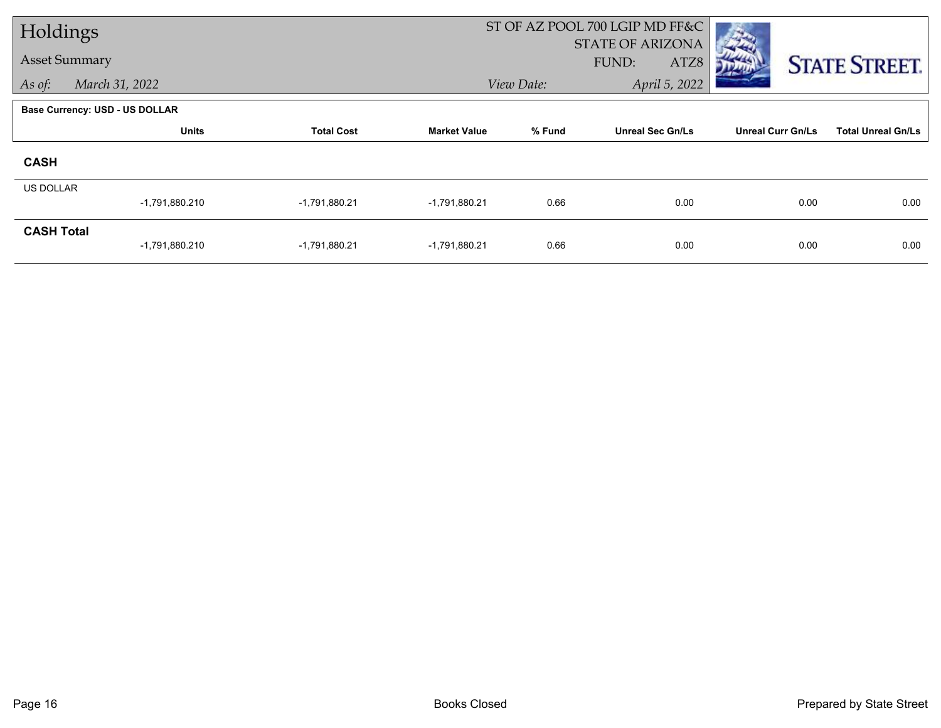| Holdings          |                                       |                   |                     |                             | ST OF AZ POOL 700 LGIP MD FF&C           |                          |                           |
|-------------------|---------------------------------------|-------------------|---------------------|-----------------------------|------------------------------------------|--------------------------|---------------------------|
|                   | <b>Asset Summary</b>                  |                   |                     |                             | <b>STATE OF ARIZONA</b><br>FUND:<br>ATZ8 |                          | <b>STATE STREET.</b>      |
| As of:            | March 31, 2022                        |                   |                     | April 5, 2022<br>View Date: |                                          |                          |                           |
|                   | <b>Base Currency: USD - US DOLLAR</b> |                   |                     |                             |                                          |                          |                           |
|                   | <b>Units</b>                          | <b>Total Cost</b> | <b>Market Value</b> | % Fund                      | <b>Unreal Sec Gn/Ls</b>                  | <b>Unreal Curr Gn/Ls</b> | <b>Total Unreal Gn/Ls</b> |
| <b>CASH</b>       |                                       |                   |                     |                             |                                          |                          |                           |
| <b>US DOLLAR</b>  | $-1,791,880.210$                      | -1,791,880.21     | -1,791,880.21       | 0.66                        | 0.00                                     | 0.00                     | 0.00                      |
| <b>CASH Total</b> | $-1,791,880.210$                      | -1,791,880.21     | -1,791,880.21       | 0.66                        | 0.00                                     | 0.00                     | 0.00                      |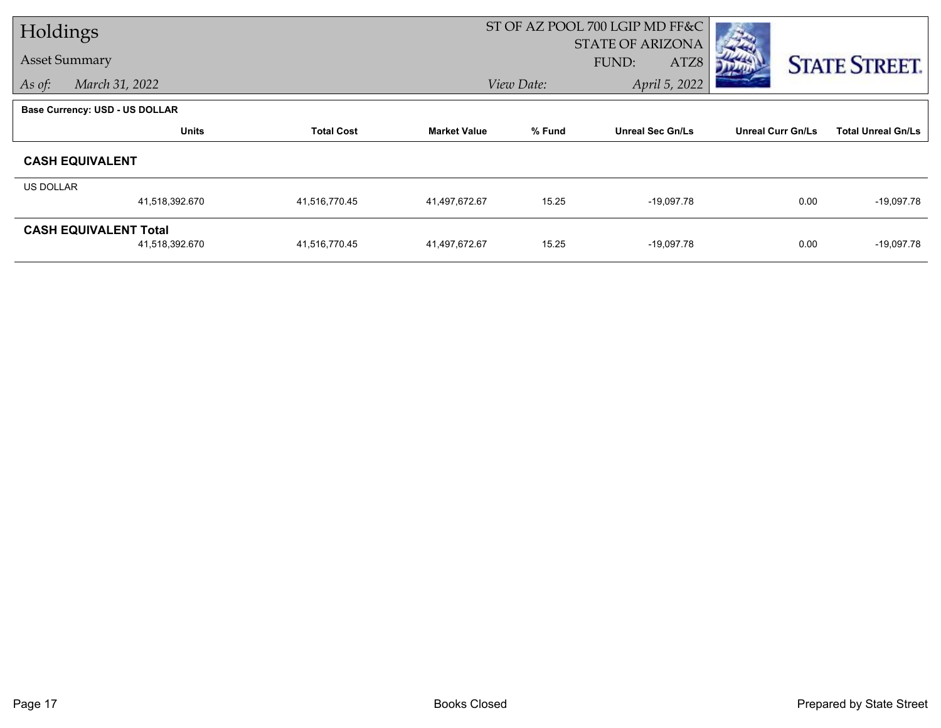| Holdings  |                                |                   | ST OF AZ POOL 700 LGIP MD FF&C |            |                         |                          |                           |
|-----------|--------------------------------|-------------------|--------------------------------|------------|-------------------------|--------------------------|---------------------------|
|           |                                |                   |                                |            | <b>STATE OF ARIZONA</b> |                          |                           |
|           | <b>Asset Summary</b>           |                   |                                |            | <b>FUND:</b><br>ATZ8    |                          | <b>STATE STREET.</b>      |
| As of:    | March 31, 2022                 |                   |                                | View Date: | April 5, 2022           |                          |                           |
|           | Base Currency: USD - US DOLLAR |                   |                                |            |                         |                          |                           |
|           | <b>Units</b>                   | <b>Total Cost</b> | <b>Market Value</b>            | % Fund     | <b>Unreal Sec Gn/Ls</b> | <b>Unreal Curr Gn/Ls</b> | <b>Total Unreal Gn/Ls</b> |
|           | <b>CASH EQUIVALENT</b>         |                   |                                |            |                         |                          |                           |
| US DOLLAR |                                |                   |                                |            |                         |                          |                           |
|           | 41,518,392.670                 | 41,516,770.45     | 41,497,672.67                  | 15.25      | $-19,097.78$            | 0.00                     | $-19,097.78$              |
|           | <b>CASH EQUIVALENT Total</b>   |                   |                                |            |                         |                          |                           |
|           | 41,518,392.670                 | 41,516,770.45     | 41,497,672.67                  | 15.25      | $-19,097.78$            | 0.00                     | $-19,097.78$              |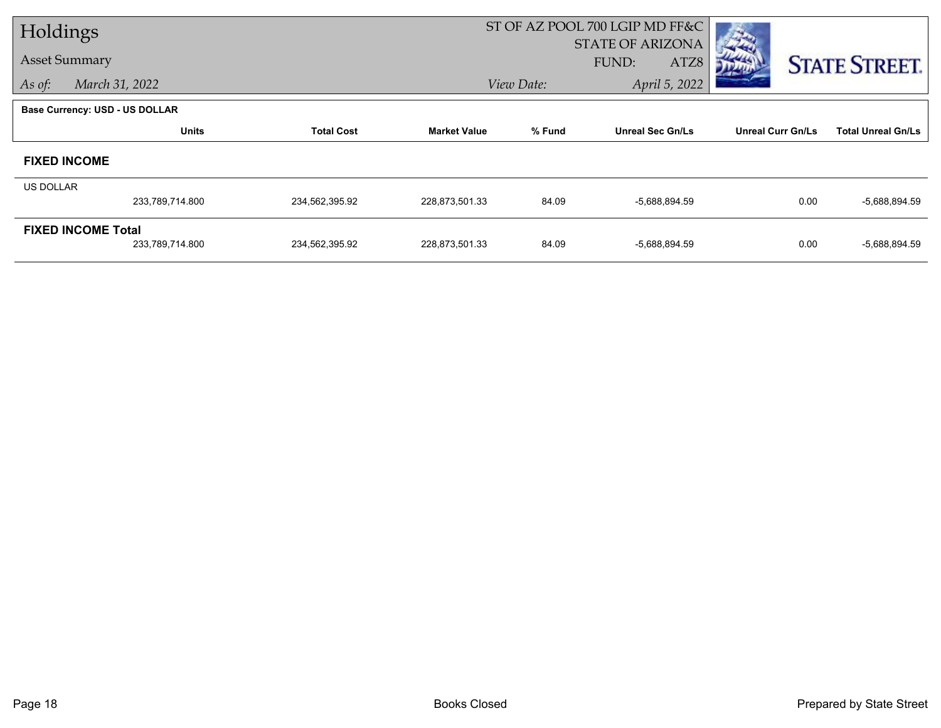| Holdings  |                                       |                   |                     | ST OF AZ POOL 700 LGIP MD FF&C |                         |                          |                           |  |
|-----------|---------------------------------------|-------------------|---------------------|--------------------------------|-------------------------|--------------------------|---------------------------|--|
|           |                                       |                   |                     |                                | <b>STATE OF ARIZONA</b> |                          |                           |  |
|           | <b>Asset Summary</b>                  |                   |                     |                                | FUND:<br>ATZ8           |                          | <b>STATE STREET.</b>      |  |
| As of:    | March 31, 2022                        |                   |                     | View Date:                     | April 5, 2022           |                          |                           |  |
|           | <b>Base Currency: USD - US DOLLAR</b> |                   |                     |                                |                         |                          |                           |  |
|           | <b>Units</b>                          | <b>Total Cost</b> | <b>Market Value</b> | % Fund                         | <b>Unreal Sec Gn/Ls</b> | <b>Unreal Curr Gn/Ls</b> | <b>Total Unreal Gn/Ls</b> |  |
|           | <b>FIXED INCOME</b>                   |                   |                     |                                |                         |                          |                           |  |
| US DOLLAR |                                       |                   |                     |                                |                         |                          |                           |  |
|           | 233,789,714.800                       | 234,562,395.92    | 228,873,501.33      | 84.09                          | -5,688,894.59           | 0.00                     | $-5,688,894.59$           |  |
|           | <b>FIXED INCOME Total</b>             |                   |                     |                                |                         |                          |                           |  |
|           | 233,789,714.800                       | 234,562,395.92    | 228,873,501.33      | 84.09                          | -5,688,894.59           | 0.00                     | $-5,688,894.59$           |  |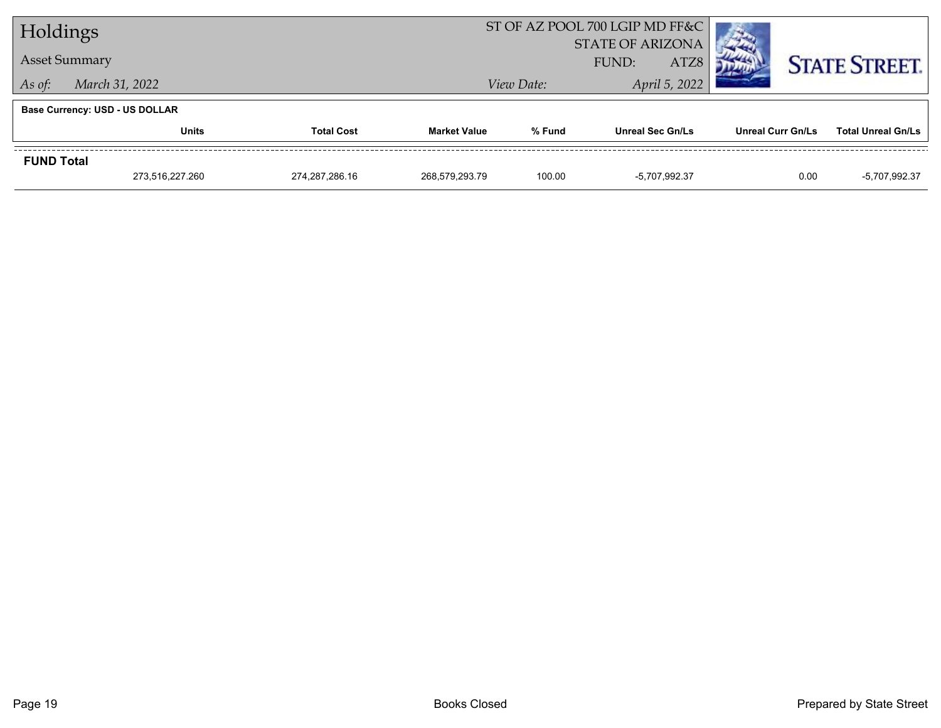| Holdings          |                                       |                | ST OF AZ POOL 700 LGIP MD FF&C |                                   |               |                   |                           |
|-------------------|---------------------------------------|----------------|--------------------------------|-----------------------------------|---------------|-------------------|---------------------------|
|                   |                                       |                |                                | <b>STATE OF ARIZONA</b>           |               |                   |                           |
|                   | <b>Asset Summary</b>                  |                |                                | ATZ8<br>FUND:                     |               |                   | <b>STATE STREET.</b>      |
| As of:            | March 31, 2022                        |                |                                | View Date:                        | April 5, 2022 |                   |                           |
|                   | <b>Base Currency: USD - US DOLLAR</b> |                |                                |                                   |               |                   |                           |
|                   | <b>Units</b><br><b>Total Cost</b>     |                | <b>Market Value</b>            | % Fund<br><b>Unreal Sec Gn/Ls</b> |               | Unreal Curr Gn/Ls | <b>Total Unreal Gn/Ls</b> |
| <b>FUND Total</b> |                                       |                |                                |                                   |               |                   |                           |
|                   | 273,516,227.260                       | 274.287.286.16 | 268,579,293.79                 | 100.00                            | -5.707.992.37 | 0.00              | -5,707,992.37             |